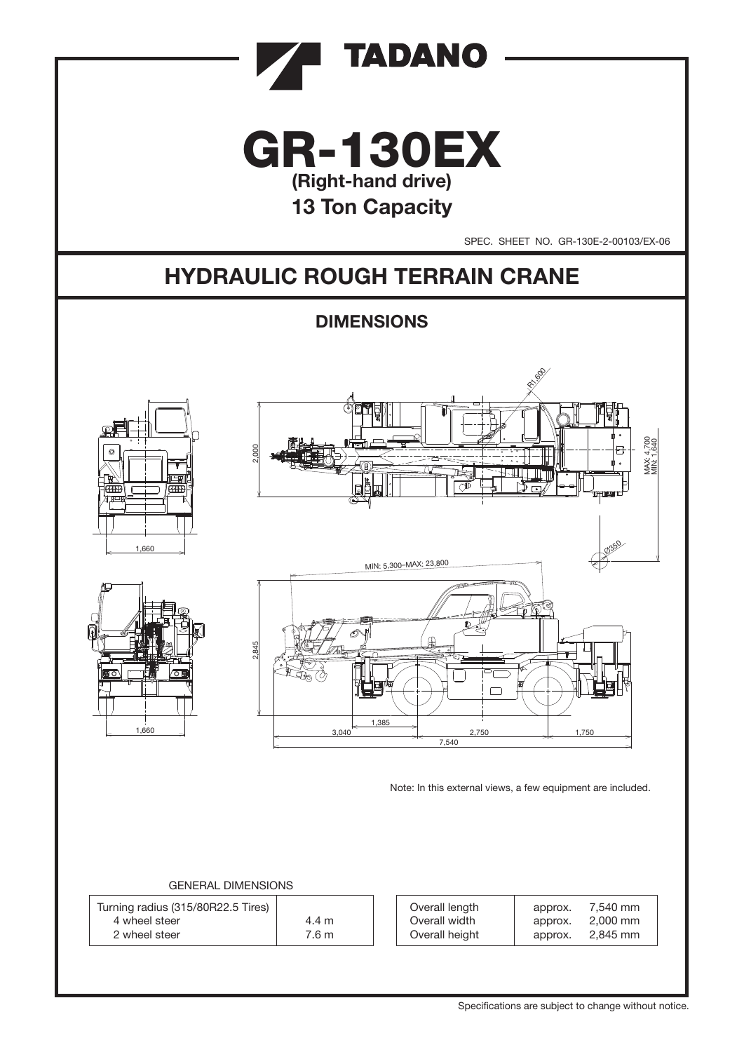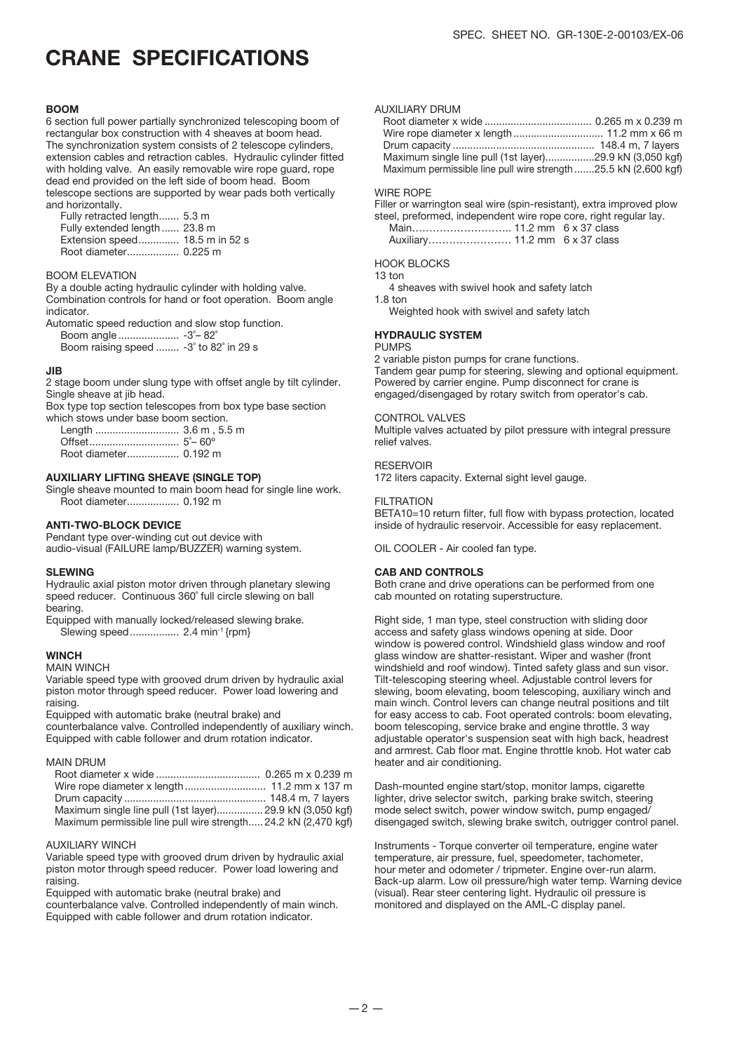### CRANE SPECIFICATIONS

#### BOOM

6 section full power partially synchronized telescoping boom of rectangular box construction with 4 sheaves at boom head. The synchronization system consists of 2 telescope cylinders, extension cables and retraction cables. Hydraulic cylinder fitted with holding valve. An easily removable wire rope guard, rope dead end provided on the left side of boom head. Boom telescope sections are supported by wear pads both vertically and horizontally.

 Fully retracted length....... 5.3 m Fully extended length ...... 23.8 m Extension speed.............. 18.5 m in 52 s Root diameter.................. 0.225 m

#### BOOM ELEVATION

By a double acting hydraulic cylinder with holding valve. Combination controls for hand or foot operation. Boom angle indicator.

Automatic speed reduction and slow stop function. Boom angle ..................... -3˚– 82˚

Boom raising speed ........ -3˚ to 82˚ in 29 s

#### JIB

2 stage boom under slung type with offset angle by tilt cylinder. Single sheave at jib head.

Box type top section telescopes from box type base section which stows under base boom section.

 Length ............................. 3.6 m , 5.5 m Offset............................... 5˚– 60º Root diameter.................. 0.192 m

#### AUXILIARY LIFTING SHEAVE (SINGLE TOP)

Single sheave mounted to main boom head for single line work. Root diameter.................. 0.192 m

#### ANTI-TWO-BLOCK DEVICE

Pendant type over-winding cut out device with audio-visual (FAILURE lamp/BUZZER) warning system.

#### SLEWING

Hydraulic axial piston motor driven through planetary slewing speed reducer. Continuous 360° full circle slewing on ball bearing.

Equipped with manually locked/released slewing brake. Slewing speed................. 2.4 min-1 {rpm}

#### **WINCH**

#### MAIN WINCH

Variable speed type with grooved drum driven by hydraulic axial piston motor through speed reducer. Power load lowering and raising.

Equipped with automatic brake (neutral brake) and

counterbalance valve. Controlled independently of auxiliary winch. Equipped with cable follower and drum rotation indicator.

#### MAIN DRUM

| Maximum single line pull (1st layer) 29.9 kN (3,050 kgf)        |  |
|-----------------------------------------------------------------|--|
| Maximum permissible line pull wire strength 24.2 kN (2,470 kgf) |  |

#### AUXILIARY WINCH

Variable speed type with grooved drum driven by hydraulic axial piston motor through speed reducer. Power load lowering and raising.

Equipped with automatic brake (neutral brake) and

counterbalance valve. Controlled independently of main winch. Equipped with cable follower and drum rotation indicator.

#### AUXILIARY DRUM

| Maximum single line pull (1st layer)29.9 kN (3,050 kgf)        |  |
|----------------------------------------------------------------|--|
| Maximum permissible line pull wire strength25.5 kN (2,600 kgf) |  |

#### WIRE ROPE

Filler or warrington seal wire (spin-resistant), extra improved plow steel, preformed, independent wire rope core, right regular lay.

#### HOOK BLOCKS

13 ton

- 4 sheaves with swivel hook and safety latch
- 1.8 ton Weighted hook with swivel and safety latch

#### HYDRAULIC SYSTEM

### PUMPS

2 variable piston pumps for crane functions. Tandem gear pump for steering, slewing and optional equipment. Powered by carrier engine. Pump disconnect for crane is engaged/disengaged by rotary switch from operator's cab.

#### CONTROL VALVES

Multiple valves actuated by pilot pressure with integral pressure relief valves.

#### RESERVOIR

172 liters capacity. External sight level gauge.

#### **FILTRATION**

BETA10=10 return filter, full flow with bypass protection, located inside of hydraulic reservoir. Accessible for easy replacement.

OIL COOLER - Air cooled fan type.

#### CAB AND CONTROLS

Both crane and drive operations can be performed from one cab mounted on rotating superstructure.

Right side, 1 man type, steel construction with sliding door access and safety glass windows opening at side. Door window is powered control. Windshield glass window and roof glass window are shatter-resistant. Wiper and washer (front windshield and roof window). Tinted safety glass and sun visor. Tilt-telescoping steering wheel. Adjustable control levers for slewing, boom elevating, boom telescoping, auxiliary winch and main winch. Control levers can change neutral positions and tilt for easy access to cab. Foot operated controls: boom elevating, boom telescoping, service brake and engine throttle. 3 way adjustable operator's suspension seat with high back, headrest and armrest. Cab floor mat. Engine throttle knob. Hot water cab heater and air conditioning.

Dash-mounted engine start/stop, monitor lamps, cigarette lighter, drive selector switch, parking brake switch, steering mode select switch, power window switch, pump engaged/ disengaged switch, slewing brake switch, outrigger control panel.

Instruments - Torque converter oil temperature, engine water temperature, air pressure, fuel, speedometer, tachometer, hour meter and odometer / tripmeter. Engine over-run alarm. Back-up alarm. Low oil pressure/high water temp. Warning device (visual). Rear steer centering light. Hydraulic oil pressure is monitored and displayed on the AML-C display panel.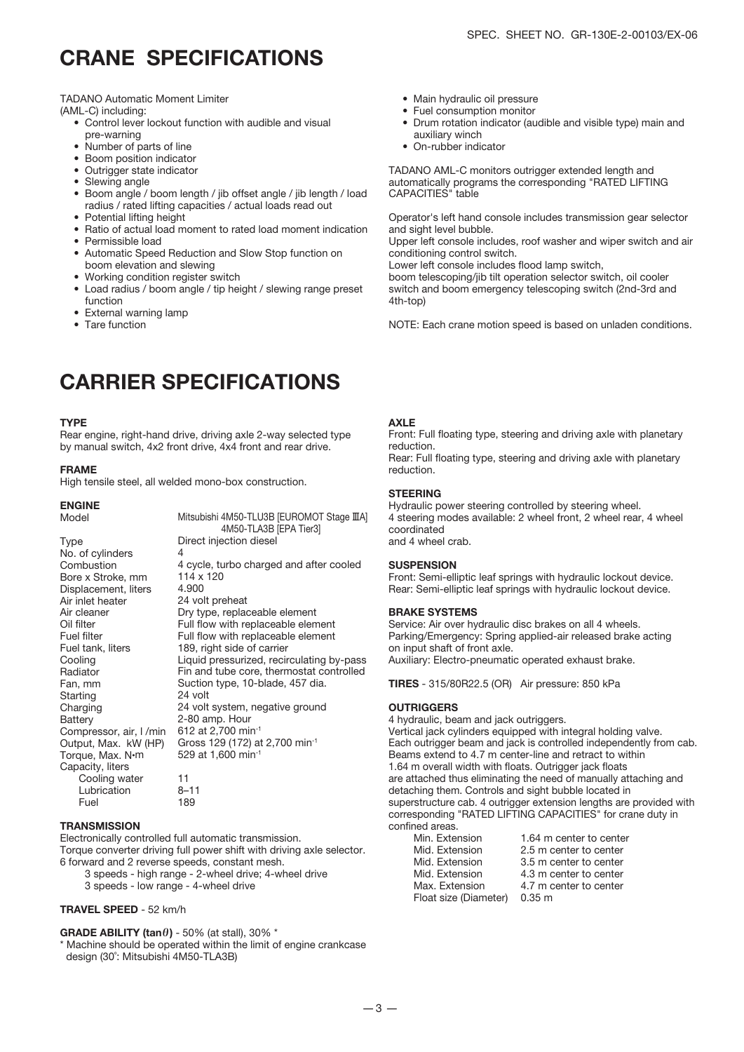### CRANE SPECIFICATIONS

TADANO Automatic Moment Limiter

(AML-C) including:

- Control lever lockout function with audible and visual pre-warning
- Number of parts of line
- Boom position indicator
- Outrigger state indicator
- Slewing angle
- Boom angle / boom length / jib offset angle / jib length / load radius / rated lifting capacities / actual loads read out
- Potential lifting height
- Ratio of actual load moment to rated load moment indication
- Permissible load
- Automatic Speed Reduction and Slow Stop function on
- boom elevation and slewing • Working condition register switch
- Load radius / boom angle / tip height / slewing range preset function
- External warning lamp
- Tare function

### CARRIER SPECIFICATIONS

#### **TVDE**

Rear engine, right-hand drive, driving axle 2-way selected type by manual switch, 4x2 front drive, 4x4 front and rear drive.

#### FRAME

High tensile steel, all welded mono-box construction.

#### ENGINE

| Model                   | Mitsubishi 4M50-TLU3B [EUROMOT Stage IIIA]<br>4M50-TLA3B [EPA Tier3] |
|-------------------------|----------------------------------------------------------------------|
| Type                    | Direct injection diesel                                              |
| No. of cylinders        | 4                                                                    |
| Combustion              | 4 cycle, turbo charged and after cooled                              |
| Bore x Stroke, mm       | 114 x 120                                                            |
| Displacement, liters    | 4.900                                                                |
| Air inlet heater        | 24 volt preheat                                                      |
| Air cleaner             | Dry type, replaceable element                                        |
| Oil filter              | Full flow with replaceable element                                   |
| Fuel filter             | Full flow with replaceable element                                   |
| Fuel tank, liters       | 189, right side of carrier                                           |
| Cooling                 | Liquid pressurized, recirculating by-pass                            |
| Radiator                | Fin and tube core, thermostat controlled                             |
| Fan, mm                 | Suction type, 10-blade, 457 dia.                                     |
| Starting                | 24 volt                                                              |
| Charging                | 24 volt system, negative ground                                      |
| Battery                 | 2-80 amp. Hour                                                       |
| Compressor, air, I /min | 612 at 2,700 min <sup>-1</sup>                                       |
| Output, Max. kW (HP)    | Gross 129 (172) at 2,700 min <sup>-1</sup>                           |
| Torque, Max. N•m        | 529 at 1,600 min-1                                                   |
| Capacity, liters        |                                                                      |
| Cooling water           | 11                                                                   |
| Lubrication             | $8 - 11$                                                             |
| Fuel                    | 189                                                                  |

#### **TRANSMISSION**

Electronically controlled full automatic transmission. Torque converter driving full power shift with driving axle selector. 6 forward and 2 reverse speeds, constant mesh.

3 speeds - high range - 2-wheel drive; 4-wheel drive 3 speeds - low range - 4-wheel drive

#### TRAVEL SPEED - 52 km/h

GRADE ABILITY (tan $\theta$ ) - 50% (at stall), 30% \*

\* Machine should be operated within the limit of engine crankcase design (30˚: Mitsubishi 4M50-TLA3B)

- Main hydraulic oil pressure
- Fuel consumption monitor
- Drum rotation indicator (audible and visible type) main and auxiliary winch
- On-rubber indicator

TADANO AML-C monitors outrigger extended length and automatically programs the corresponding "RATED LIFTING CAPACITIES" table

Operator's left hand console includes transmission gear selector and sight level bubble.

Upper left console includes, roof washer and wiper switch and air conditioning control switch.

Lower left console includes flood lamp switch,

boom telescoping/jib tilt operation selector switch, oil cooler switch and boom emergency telescoping switch (2nd-3rd and 4th-top)

NOTE: Each crane motion speed is based on unladen conditions.

#### AXLE

Front: Full floating type, steering and driving axle with planetary reduction.

Rear: Full floating type, steering and driving axle with planetary reduction.

#### **STEERING**

Hydraulic power steering controlled by steering wheel. 4 steering modes available: 2 wheel front, 2 wheel rear, 4 wheel coordinated and 4 wheel crab.

#### **SUSPENSION**

Front: Semi-elliptic leaf springs with hydraulic lockout device. Rear: Semi-elliptic leaf springs with hydraulic lockout device.

#### BRAKE SYSTEMS

Service: Air over hydraulic disc brakes on all 4 wheels. Parking/Emergency: Spring applied-air released brake acting on input shaft of front axle. Auxiliary: Electro-pneumatic operated exhaust brake.

TIRES - 315/80R22.5 (OR) Air pressure: 850 kPa

#### **OUTRIGGERS**

4 hydraulic, beam and jack outriggers. Vertical jack cylinders equipped with integral holding valve. Each outrigger beam and jack is controlled independently from cab. Beams extend to 4.7 m center-line and retract to within 1.64 m overall width with floats. Outrigger jack floats are attached thus eliminating the need of manually attaching and detaching them. Controls and sight bubble located in superstructure cab. 4 outrigger extension lengths are provided with corresponding "RATED LIFTING CAPACITIES" for crane duty in confined areas.<br>Min Extension 1.64 m center to center

| IVIIII. EXLUISIUII    | 1.04 III CENTEL 10 CENTE |
|-----------------------|--------------------------|
| Mid. Extension        | 2.5 m center to center   |
| Mid. Extension        | 3.5 m center to center   |
| Mid. Extension        | 4.3 m center to center   |
| Max. Extension        | 4.7 m center to center   |
| Float size (Diameter) | $0.35 \; \mathrm{m}$     |
|                       |                          |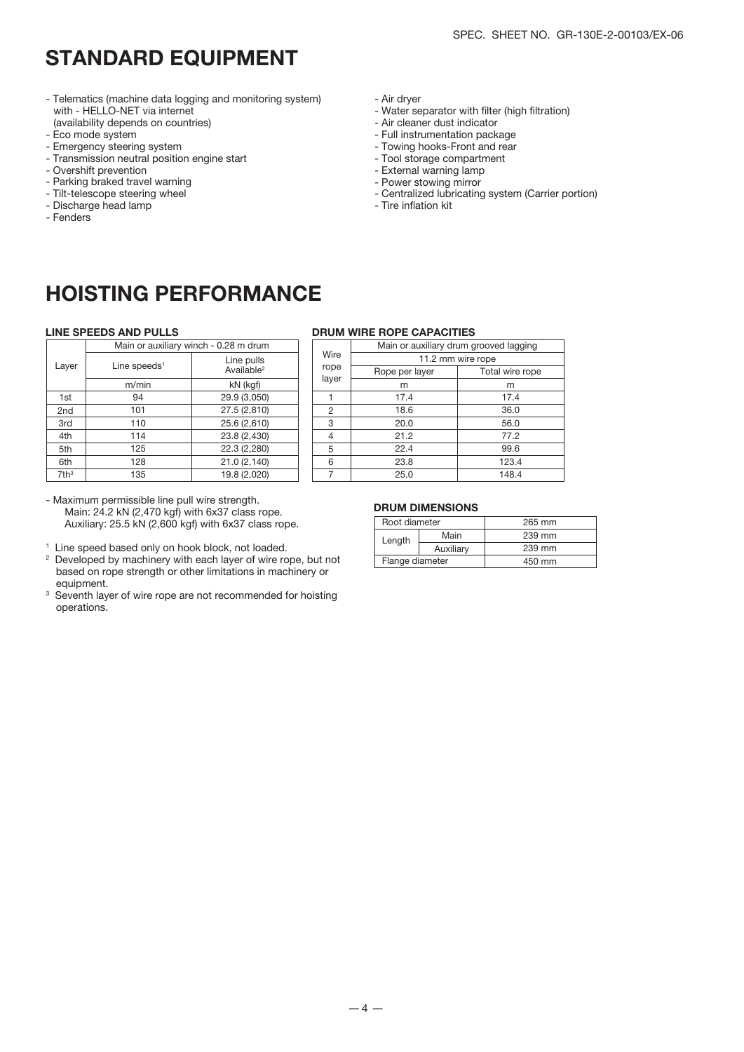- Telematics (machine data logging and monitoring system) with - HELLO-NET via internet (availability depends on countries)
- Eco mode system
- Emergency steering system
- Transmission neutral position engine start
- Overshift prevention
- Parking braked travel warning
- Tilt-telescope steering wheel
- Discharge head lamp
- Fenders
- Air dryer
- Water separator with filter (high filtration)
- Air cleaner dust indicator
- Full instrumentation package
- Towing hooks-Front and rear
- Tool storage compartment
- External warning lamp
- Power stowing mirror
- Centralized lubricating system (Carrier portion)
- Tire inflation kit

### HOISTING PERFORMANCE

|                  |                          | Main or auxiliary winch - 0.28 m drum |
|------------------|--------------------------|---------------------------------------|
| Layer            | Line speeds <sup>1</sup> | Line pulls<br>Available <sup>2</sup>  |
|                  | m/min                    | kN (kgf)                              |
| 1st              | 94                       | 29.9 (3,050)                          |
| 2 <sub>nd</sub>  | 101                      | 27.5 (2,810)                          |
| 3rd              | 110                      | 25.6 (2,610)                          |
| 4th              | 114                      | 23.8 (2,430)                          |
| 5th              | 125                      | 22.3 (2,280)                          |
| 6th              | 128                      | 21.0 (2,140)                          |
| 7th <sup>3</sup> | 135                      | 19.8 (2,020)                          |

- Maximum permissible line pull wire strength. Main: 24.2 kN (2,470 kgf) with 6x37 class rope. Auxiliary: 25.5 kN (2,600 kgf) with 6x37 class rope.
- 
- 1 Line speed based only on hook block, not loaded. 2 Developed by machinery with each layer of wire rope, but not based on rope strength or other limitations in machinery or equipment.
- <sup>3</sup> Seventh layer of wire rope are not recommended for hoisting operations.

#### LINE SPEEDS AND PULLS DRUM WIRE ROPE CAPACITIES

|                          | Main or auxiliary winch - 0.28 m drum |       | Main or auxiliary drum grooved lagging |                   |  |  |  |
|--------------------------|---------------------------------------|-------|----------------------------------------|-------------------|--|--|--|
| _ine speeds <sup>1</sup> | Line pulls                            | Wire  |                                        | 11.2 mm wire rope |  |  |  |
|                          | Available <sup>2</sup>                | rope  | Rope per layer                         | Total wire rope   |  |  |  |
| m/min                    | kN (kgf)                              | layer | m                                      | m                 |  |  |  |
| 94                       | 29.9 (3,050)                          |       | 17.4                                   | 17.4              |  |  |  |
| 101                      | 27.5 (2,810)                          | 2     | 18.6                                   | 36.0              |  |  |  |
| 110                      | 25.6 (2,610)                          | 3     | 20.0                                   | 56.0              |  |  |  |
| 114                      | 23.8 (2,430)                          | 4     | 21.2                                   | 77.2              |  |  |  |
| 125                      | 22.3 (2,280)                          | 5     | 22.4                                   | 99.6              |  |  |  |
| 128                      | 21.0 (2,140)                          | 6     | 23.8                                   | 123.4             |  |  |  |
| 135                      | 19.8 (2,020)                          |       | 25.0                                   | 148.4             |  |  |  |
|                          |                                       |       |                                        |                   |  |  |  |

#### DRUM DIMENSIONS

| Root diameter   |           | 265 mm |
|-----------------|-----------|--------|
| Length          | Main      | 239 mm |
|                 | Auxiliarv | 239 mm |
| Flange diameter |           | 450 mm |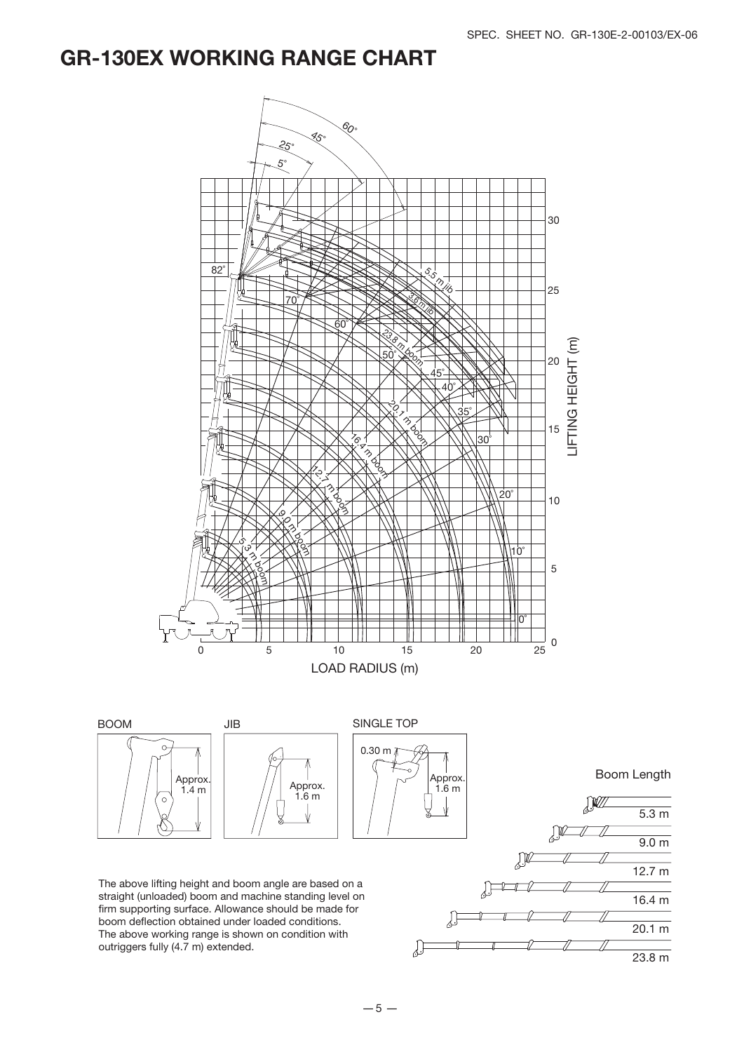23.8 m

### GR-130EX WORKING RANGE CHART



outriggers fully (4.7 m) extended.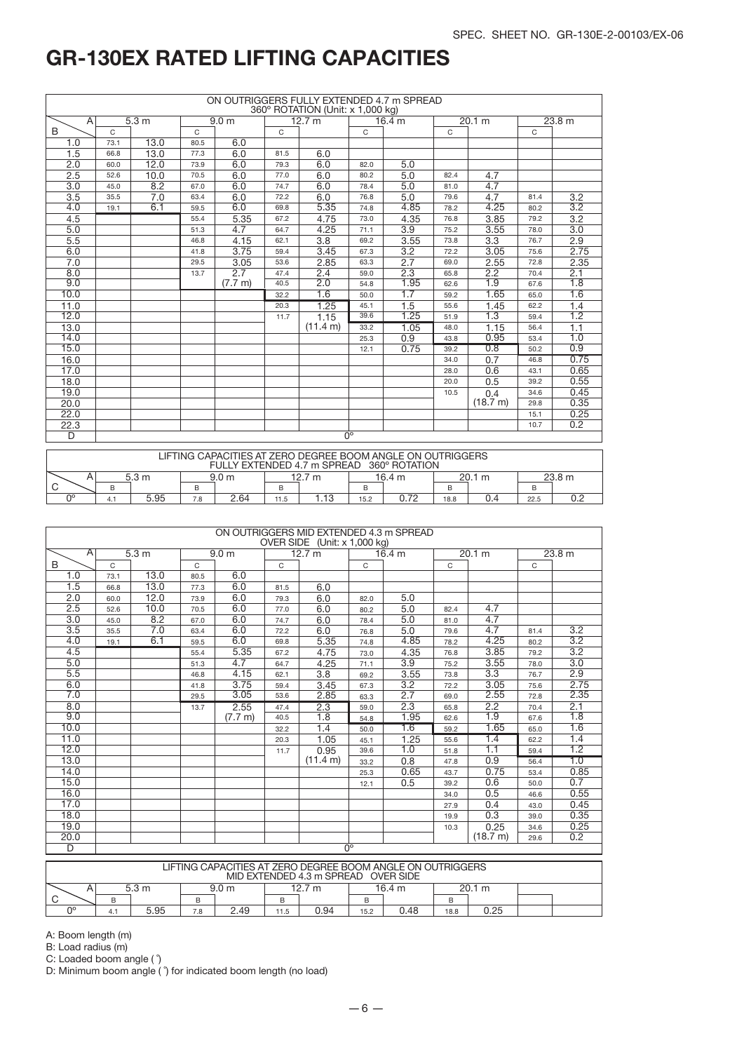|                | ON OUTRIGGERS FULLY EXTENDED 4.7 m SPREAD<br>360° ROTATION (Unit: x 1,000 kg) |                  |              |                  |              |          |                        |                   |      |                  |              |                   |  |
|----------------|-------------------------------------------------------------------------------|------------------|--------------|------------------|--------------|----------|------------------------|-------------------|------|------------------|--------------|-------------------|--|
| A              |                                                                               | 5.3 <sub>m</sub> |              | 9.0 <sub>m</sub> |              | 12.7 m   |                        | 16.4 <sub>m</sub> |      | 20.1 m           |              | 23.8 <sub>m</sub> |  |
| B              | $\mathsf{C}$                                                                  |                  | $\mathsf{C}$ |                  | $\mathsf{C}$ |          | $\mathsf{C}$           |                   | C    |                  | $\mathsf{C}$ |                   |  |
| 1.0            | 73.1                                                                          | 13.0             | 80.5         | 6.0              |              |          |                        |                   |      |                  |              |                   |  |
| 1.5            | 66.8                                                                          | 13.0             | 77.3         | 6.0              | 81.5         | 6.0      |                        |                   |      |                  |              |                   |  |
| 2.0            | 60.0                                                                          | 12.0             | 73.9         | 6.0              | 79.3         | 6.0      | 82.0                   | 5.0               |      |                  |              |                   |  |
| 2.5            | 52.6                                                                          | 10.0             | 70.5         | 6.0              | 77.0         | 6.0      | 80.2                   | 5.0               | 82.4 | 4.7              |              |                   |  |
| 3.0            | 45.0                                                                          | 8.2              | 67.0         | 6.0              | 74.7         | 6.0      | 78.4                   | 5.0               | 81.0 | 4.7              |              |                   |  |
| 3.5            | 35.5                                                                          | 7.0              | 63.4         | 6.0              | 72.2         | 6.0      | 76.8                   | 5.0               | 79.6 | 4.7              | 81.4         | 3.2               |  |
| 4.0            | 19.1                                                                          | 6.1              | 59.5         | 6.0              | 69.8         | 5.35     | 74.8                   | 4.85              | 78.2 | 4.25             | 80.2         | $\overline{3.2}$  |  |
| 4.5            |                                                                               |                  | 55.4         | 5.35             | 67.2         | 4.75     | 73.0                   | 4.35              | 76.8 | 3.85             | 79.2         | 3.2               |  |
| 5.0            |                                                                               |                  | 51.3         | 4.7              | 64.7         | 4.25     | 71.1                   | 3.9               | 75.2 | 3.55             | 78.0         | 3.0               |  |
| 5.5            |                                                                               |                  | 46.8         | 4.15             | 62.1         | 3.8      | 69.2                   | 3.55              | 73.8 | 3.3              | 76.7         | 2.9               |  |
| 6.0            |                                                                               |                  | 41.8         | 3.75             | 59.4         | 3.45     | 67.3                   | 3.2               | 72.2 | 3.05             | 75.6         | 2.75              |  |
| 7.0            |                                                                               |                  | 29.5         | 3.05             | 53.6         | 2.85     | 63.3                   | 2.7               | 69.0 | 2.55             | 72.8         | 2.35              |  |
| 8.0            |                                                                               |                  | 13.7         | 2.7              | 47.4         | 2.4      | 59.0                   | 2.3               | 65.8 | 2.2              | 70.4         | 2.1               |  |
| 9.0            |                                                                               |                  |              | (7.7 m)          | 40.5         | 2.0      | 54.8                   | 1.95              | 62.6 | $\overline{1.9}$ | 67.6         | $\overline{1.8}$  |  |
| 10.0           |                                                                               |                  |              |                  | 32.2         | 1.6      | 50.0                   | 1.7               | 59.2 | 1.65             | 65.0         | 1.6               |  |
| 11.0           |                                                                               |                  |              |                  | 20.3         | 1.25     | 45.1                   | 1.5               | 55.6 | 1.45             | 62.2         | 1.4               |  |
| 12.0           |                                                                               |                  |              |                  | 11.7         | 1.15     | 39.6                   | 1.25              | 51.9 | 1.3              | 59.4         | $\overline{1.2}$  |  |
| 13.0           |                                                                               |                  |              |                  |              | (11.4 m) | 33.2                   | 1.05              | 48.0 | 1.15             | 56.4         | 1.1               |  |
| 14.0           |                                                                               |                  |              |                  |              |          | 25.3                   | 0.9               | 43.8 | 0.95             | 53.4         | 1.0               |  |
| 15.0           |                                                                               |                  |              |                  |              |          | 12.1                   | 0.75              | 39.2 | 0.8              | 50.2         | 0.9               |  |
| 16.0           |                                                                               |                  |              |                  |              |          |                        |                   | 34.0 | 0.7              | 46.8         | 0.75              |  |
| 17.0           |                                                                               |                  |              |                  |              |          |                        |                   | 28.0 | 0.6              | 43.1         | 0.65              |  |
| 18.0           |                                                                               |                  |              |                  |              |          |                        |                   | 20.0 | 0.5              | 39.2         | 0.55              |  |
| 19.0           |                                                                               |                  |              |                  |              |          |                        |                   | 10.5 | 0.4              | 34.6         | 0.45              |  |
| 20.0           |                                                                               |                  |              |                  |              |          |                        |                   |      | (18.7 m)         | 29.8         | 0.35              |  |
| 22.0           |                                                                               |                  |              |                  |              |          |                        |                   |      |                  | 15.1         | 0.25              |  |
| 22.3           |                                                                               |                  |              |                  |              |          |                        |                   |      |                  | 10.7         | 0.2               |  |
| $\overline{D}$ |                                                                               |                  |              |                  |              |          | $\overline{0^{\circ}}$ |                   |      |                  |              |                   |  |

|    | LIFTING CAPACITIES AT ZERO DEGREE BOOM ANGLE ON OUTRIGGERS<br>FULLY EXTENDED 4.7 m SPREAD 360° ROTATION |                  |     |                  |      |        |                            |      |      |  |      |  |
|----|---------------------------------------------------------------------------------------------------------|------------------|-----|------------------|------|--------|----------------------------|------|------|--|------|--|
|    |                                                                                                         | 5.3 <sub>m</sub> |     | 9.0 <sub>m</sub> |      | 12.7 m | 16.4 m<br>23.8 m<br>20.1 m |      |      |  |      |  |
| B  |                                                                                                         |                  |     |                  |      |        |                            |      |      |  |      |  |
| no | 4. .                                                                                                    | 5.95             | 7.8 | 2.64             | 11.5 | . . 13 | 15.2                       | ነ 72 | 18.8 |  | 22.5 |  |

|                | ON OUTRIGGERS MID EXTENDED 4.3 m SPREAD<br>OVER SIDE (Unit: x 1,000 kg) |                        |               |                  |        |                  |              |        |              |          |        |                  |  |  |
|----------------|-------------------------------------------------------------------------|------------------------|---------------|------------------|--------|------------------|--------------|--------|--------------|----------|--------|------------------|--|--|
| $\overline{A}$ |                                                                         | 5.3 m                  |               | 9.0 <sub>m</sub> | 12.7 m |                  |              | 16.4 m | 20.1 m       |          | 23.8 m |                  |  |  |
| B              | $\mathsf{C}$                                                            |                        | $\mathcal{C}$ |                  | C      |                  | $\mathsf{C}$ |        | $\mathsf{C}$ |          | C      |                  |  |  |
| 1.0            | 73.1                                                                    | 13.0                   | 80.5          | 6.0              |        |                  |              |        |              |          |        |                  |  |  |
| 1.5            | 66.8                                                                    | 13.0                   | 77.3          | 6.0              | 81.5   | 6.0              |              |        |              |          |        |                  |  |  |
| 2.0            | 60.0                                                                    | 12.0                   | 73.9          | 6.0              | 79.3   | 6.0              | 82.0         | 5.0    |              |          |        |                  |  |  |
| 2.5            | 52.6                                                                    | 10.0                   | 70.5          | 6.0              | 77.0   | 6.0              | 80.2         | 5.0    | 82.4         | 4.7      |        |                  |  |  |
| 3.0            | 45.0                                                                    | 8.2                    | 67.0          | 6.0              | 74.7   | 6.0              | 78.4         | 5.0    | 81.0         | 4.7      |        |                  |  |  |
| 3.5            | 35.5                                                                    | 7.0                    | 63.4          | 6.0              | 72.2   | 6.0              | 76.8         | 5.0    | 79.6         | 4.7      | 81.4   | $\overline{3.2}$ |  |  |
| 4.0            | 19.1                                                                    | 6.1                    | 59.5          | 6.0              | 69.8   | 5.35             | 74.8         | 4.85   | 78.2         | 4.25     | 80.2   | $\overline{3.2}$ |  |  |
| 4.5            |                                                                         |                        | 55.4          | 5.35             | 67.2   | 4.75             | 73.0         | 4.35   | 76.8         | 3.85     | 79.2   | 3.2              |  |  |
| 5.0            |                                                                         |                        | 51.3          | 4.7              | 64.7   | 4.25             | 71.1         | 3.9    | 75.2         | 3.55     | 78.0   | 3.0              |  |  |
| 5.5            |                                                                         |                        | 46.8          | 4.15             | 62.1   | 3.8              | 69.2         | 3.55   | 73.8         | 3.3      | 76.7   | 2.9              |  |  |
| 6.0            |                                                                         |                        | 41.8          | 3.75             | 59.4   | 3.45             | 67.3         | 3.2    | 72.2         | 3.05     | 75.6   | 2.75             |  |  |
| 7.0            |                                                                         |                        | 29.5          | 3.05             | 53.6   | 2.85             | 63.3         | 2.7    | 69.0         | 2.55     | 72.8   | 2.35             |  |  |
| 8.0            |                                                                         |                        | 13.7          | 2.55             | 47.4   | 2.3              | 59.0         | 2.3    | 65.8         | 2.2      | 70.4   | 2.1              |  |  |
| 9.0            |                                                                         |                        |               | (7.7 m)          | 40.5   | $\overline{1.8}$ | 54.8         | 1.95   | 62.6         | 1.9      | 67.6   | $\overline{1.8}$ |  |  |
| 10.0           |                                                                         |                        |               |                  | 32.2   | 1.4              | 50.0         | 1.6    | 59.2         | 1.65     | 65.0   | 1.6              |  |  |
| 11.0           |                                                                         |                        |               |                  | 20.3   | 1.05             | 45.1         | 1.25   | 55.6         | 1.4      | 62.2   | 1.4              |  |  |
| 12.0           |                                                                         |                        |               |                  | 11.7   | 0.95             | 39.6         | 1.0    | 51.8         | 1.1      | 59.4   | $\overline{1.2}$ |  |  |
| 13.0           |                                                                         |                        |               |                  |        | (11.4 m)         | 33.2         | 0.8    | 47.8         | 0.9      | 56.4   | $\overline{1.0}$ |  |  |
| 14.0           |                                                                         |                        |               |                  |        |                  | 25.3         | 0.65   | 43.7         | 0.75     | 53.4   | 0.85             |  |  |
| 15.0           |                                                                         |                        |               |                  |        |                  | 12.1         | 0.5    | 39.2         | 0.6      | 50.0   | 0.7              |  |  |
| 16.0           |                                                                         |                        |               |                  |        |                  |              |        | 34.0         | 0.5      | 46.6   | 0.55             |  |  |
| 17.0           |                                                                         |                        |               |                  |        |                  |              |        | 27.9         | 0.4      | 43.0   | 0.45             |  |  |
| 18.0           |                                                                         |                        |               |                  |        |                  |              |        | 19.9         | 0.3      | 39.0   | 0.35             |  |  |
| 19.0           |                                                                         |                        |               |                  |        |                  |              |        | 10.3         | 0.25     | 34.6   | 0.25             |  |  |
| 20.0           |                                                                         |                        |               |                  |        |                  |              |        |              | (18.7 m) | 29.6   | 0.2              |  |  |
| D              |                                                                         | $\overline{0^{\circ}}$ |               |                  |        |                  |              |        |              |          |        |                  |  |  |

| LIFTING CAPACITIES AT ZERO DEGREE BOOM ANGLE ON OUTRIGGERS |                                     |      |     |      |      |          |      |        |      |        |  |  |
|------------------------------------------------------------|-------------------------------------|------|-----|------|------|----------|------|--------|------|--------|--|--|
|                                                            | MID EXTENDED 4.3 m SPREAD OVER SIDE |      |     |      |      |          |      |        |      |        |  |  |
|                                                            | 5.3 m<br>9.0 m                      |      |     |      |      | 12.7 $m$ |      | 16.4 m |      | 20.1 m |  |  |
|                                                            |                                     |      | B   |      |      |          |      |        | B    |        |  |  |
| no                                                         | 4.                                  | 5.95 | 7.8 | 2.49 | 11.5 | 0.94     | 15.2 | 0.48   | 18.8 | 0.25   |  |  |

A: Boom length (m)

B: Load radius (m)

C: Loaded boom angle ( ˚)

D: Minimum boom angle ( ˚) for indicated boom length (no load)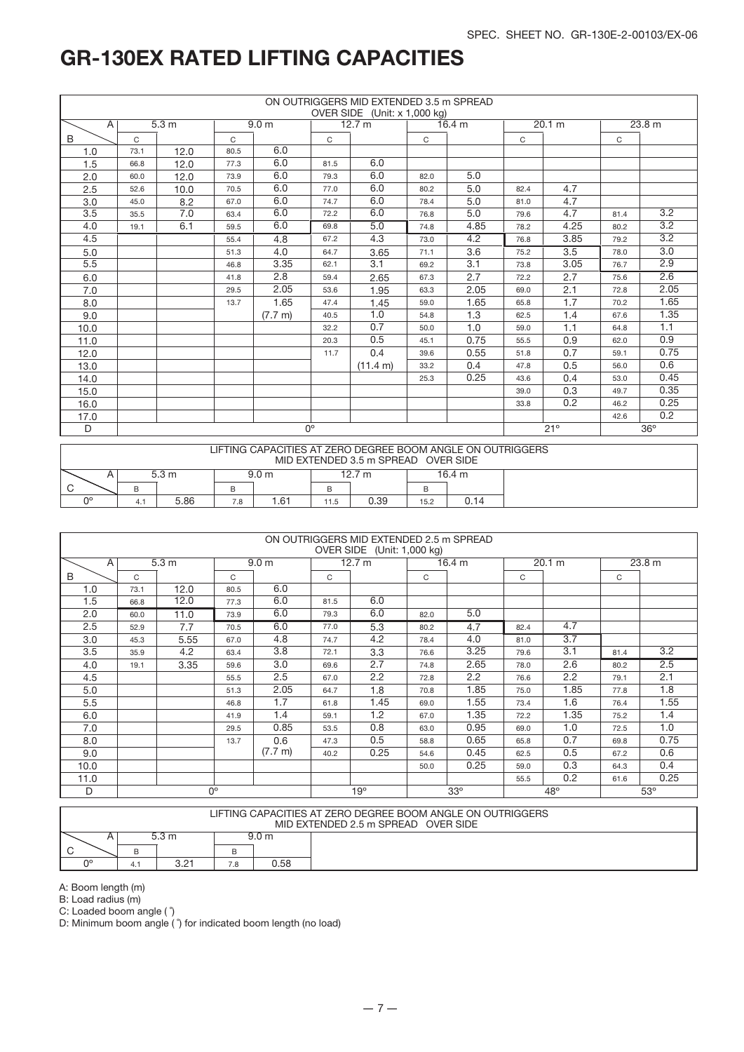|                |             |       |              |                   |              | ON OUTRIGGERS MID EXTENDED 3.5 m SPREAD<br>OVER SIDE (Unit: x 1,000 kg) |      |        |      |        |      |                  |
|----------------|-------------|-------|--------------|-------------------|--------------|-------------------------------------------------------------------------|------|--------|------|--------|------|------------------|
| $\overline{A}$ |             | 5.3 m |              | 9.0 <sub>m</sub>  |              | 12.7 m                                                                  |      | 16.4 m |      | 20.1 m |      | 23.8 m           |
| B              | C           |       | $\mathsf{C}$ |                   | $\mathsf{C}$ |                                                                         | C    |        | C    |        | C    |                  |
| 1.0            | 73.1        | 12.0  | 80.5         | 6.0               |              |                                                                         |      |        |      |        |      |                  |
| 1.5            | 66.8        | 12.0  | 77.3         | 6.0               | 81.5         | 6.0                                                                     |      |        |      |        |      |                  |
| 2.0            | 60.0        | 12.0  | 73.9         | 6.0               | 79.3         | 6.0                                                                     | 82.0 | 5.0    |      |        |      |                  |
| 2.5            | 52.6        | 10.0  | 70.5         | 6.0               | 77.0         | 6.0                                                                     | 80.2 | 5.0    | 82.4 | 4.7    |      |                  |
| 3.0            | 45.0        | 8.2   | 67.0         | 6.0               | 74.7         | 6.0                                                                     | 78.4 | 5.0    | 81.0 | 4.7    |      |                  |
| 3.5            | 35.5        | 7.0   | 63.4         | 6.0               | 72.2         | 6.0                                                                     | 76.8 | 5.0    | 79.6 | 4.7    | 81.4 | 3.2              |
| 4.0            | 19.1        | 6.1   | 59.5         | 6.0               | 69.8         | 5.0                                                                     | 74.8 | 4.85   | 78.2 | 4.25   | 80.2 | 3.2              |
| 4.5            |             |       | 55.4         | 4.8               | 67.2         | 4.3                                                                     | 73.0 | 4.2    | 76.8 | 3.85   | 79.2 | $\overline{3.2}$ |
| 5.0            | 4.0<br>51.3 |       |              |                   | 64.7         | 3.65                                                                    | 71.1 | 3.6    | 75.2 | 3.5    | 78.0 | 3.0              |
| 5.5            |             |       | 46.8         | 3.35              | 62.1         | 3.1                                                                     | 69.2 | 3.1    | 73.8 | 3.05   | 76.7 | 2.9              |
| 6.0            |             |       | 41.8         | 2.8               | 59.4         | 2.65                                                                    | 67.3 | 2.7    | 72.2 | 2.7    | 75.6 | 2.6              |
| 7.0            |             |       | 29.5         | 2.05              | 53.6         | 1.95                                                                    | 63.3 | 2.05   | 69.0 | 2.1    | 72.8 | 2.05             |
| 8.0            |             |       | 13.7         | 1.65              | 47.4         | 1.45                                                                    | 59.0 | 1.65   | 65.8 | 1.7    | 70.2 | 1.65             |
| 9.0            |             |       |              | $(7.7 \text{ m})$ | 40.5         | 1.0                                                                     | 54.8 | 1.3    | 62.5 | 1.4    | 67.6 | 1.35             |
| 10.0           |             |       |              |                   | 32.2         | 0.7                                                                     | 50.0 | 1.0    | 59.0 | 1.1    | 64.8 | 1.1              |
| 11.0           |             |       |              |                   | 20.3         | 0.5                                                                     | 45.1 | 0.75   | 55.5 | 0.9    | 62.0 | 0.9              |
| 12.0           |             |       |              |                   | 11.7         | 0.4                                                                     | 39.6 | 0.55   | 51.8 | 0.7    | 59.1 | 0.75             |
| 13.0           |             |       |              |                   |              | (11.4 m)                                                                | 33.2 | 0.4    | 47.8 | 0.5    | 56.0 | 0.6              |
| 14.0           |             |       |              |                   |              |                                                                         | 25.3 | 0.25   | 43.6 | 0.4    | 53.0 | 0.45             |
| 15.0           |             |       |              |                   |              |                                                                         |      |        | 39.0 | 0.3    | 49.7 | 0.35             |
| 16.0           |             |       |              |                   |              |                                                                         |      |        | 33.8 | 0.2    | 46.2 | 0.25             |
| 17.0           |             |       |              |                   |              |                                                                         |      |        |      |        | 42.6 | 0.2              |
| D              |             |       |              |                   | $0^{\circ}$  |                                                                         |      |        |      | 21°    |      | $36^\circ$       |

|                |                                    |   |  |  | LIFTING CAPACITIES AT ZERO DEGREE BOOM ANGLE ON OUTRIGGERS<br>MID EXTENDED 3.5 m SPREAD OVER SIDE |  |  |  |  |  |  |  |  |  |  |
|----------------|------------------------------------|---|--|--|---------------------------------------------------------------------------------------------------|--|--|--|--|--|--|--|--|--|--|
|                | 12.7 m<br>5.3 m<br>16.4 m<br>9.0 m |   |  |  |                                                                                                   |  |  |  |  |  |  |  |  |  |  |
| <sup>-</sup> C |                                    | B |  |  |                                                                                                   |  |  |  |  |  |  |  |  |  |  |
| no             | 5.86                               |   |  |  |                                                                                                   |  |  |  |  |  |  |  |  |  |  |

|      |      |                  |      |                   |      | ON OUTRIGGERS MID EXTENDED 2.5 m SPREAD<br>OVER SIDE (Unit: 1,000 kg) |      |            |      |                  |      |            |
|------|------|------------------|------|-------------------|------|-----------------------------------------------------------------------|------|------------|------|------------------|------|------------|
| A    |      | 5.3 <sub>m</sub> |      | 9.0 <sub>m</sub>  |      | 12.7 m                                                                |      | 16.4 $m$   |      | 20.1 m           |      | 23.8 m     |
| B    | C    |                  | C    |                   | C    |                                                                       | C    |            | C    |                  | C    |            |
| 1.0  | 73.1 | 12.0             | 80.5 | 6.0               |      |                                                                       |      |            |      |                  |      |            |
| 1.5  | 66.8 | 12.0             | 77.3 | 6.0               | 81.5 | 6.0                                                                   |      |            |      |                  |      |            |
| 2.0  | 60.0 | 11.0             | 73.9 | 6.0               | 79.3 | 6.0                                                                   | 82.0 | 5.0        |      |                  |      |            |
| 2.5  | 52.9 | 7.7              | 70.5 | 6.0               | 77.0 | 5.3                                                                   | 80.2 | 4.7        | 82.4 | 4.7              |      |            |
| 3.0  | 45.3 | 5.55             | 67.0 | 4.8               | 74.7 | 4.2                                                                   | 78.4 | 4.0        | 81.0 | $\overline{3.7}$ |      |            |
| 3.5  | 35.9 | 4.2              | 63.4 | 3.8               | 72.1 | 3.3                                                                   | 76.6 | 3.25       | 79.6 | 3.1              | 81.4 | 3.2        |
| 4.0  | 19.1 | 3.35             | 59.6 | 3.0               | 69.6 | 2.7                                                                   | 74.8 | 2.65       | 78.0 | 2.6              | 80.2 | 2.5        |
| 4.5  |      |                  | 55.5 | 2.5               | 67.0 | 2.2                                                                   | 72.8 | 2.2        | 76.6 | 2.2              | 79.1 | 2.1        |
| 5.0  |      |                  | 51.3 | 2.05              | 64.7 | 1.8                                                                   | 70.8 | 1.85       | 75.0 | 1.85             | 77.8 | 1.8        |
| 5.5  |      |                  | 46.8 | 1.7               | 61.8 | 1.45                                                                  | 69.0 | 1.55       | 73.4 | 1.6              | 76.4 | 1.55       |
| 6.0  |      |                  | 41.9 | 1.4               | 59.1 | 1.2                                                                   | 67.0 | 1.35       | 72.2 | 1.35             | 75.2 | 1.4        |
| 7.0  |      |                  | 29.5 | 0.85              | 53.5 | 0.8                                                                   | 63.0 | 0.95       | 69.0 | 1.0              | 72.5 | 1.0        |
| 8.0  |      |                  | 13.7 | 0.6               | 47.3 | 0.5                                                                   | 58.8 | 0.65       | 65.8 | 0.7              | 69.8 | 0.75       |
| 9.0  |      |                  |      | $(7.7 \text{ m})$ | 40.2 | 0.25                                                                  | 54.6 | 0.45       | 62.5 | 0.5              | 67.2 | 0.6        |
| 10.0 |      |                  |      |                   |      |                                                                       | 50.0 | 0.25       | 59.0 | 0.3              | 64.3 | 0.4        |
| 11.0 |      |                  |      |                   |      |                                                                       |      |            | 55.5 | 0.2              | 61.6 | 0.25       |
| D    |      | $0^{\circ}$      |      |                   |      | 19°                                                                   |      | $33^\circ$ |      | $48^\circ$       |      | $53^\circ$ |

|    |                           |  |  |  | LIFTING CAPACITIES AT ZERO DEGREE BOOM ANGLE ON OUTRIGGERS<br>MID EXTENDED 2.5 m SPREAD OVER SIDE |  |  |  |  |  |  |  |  |  |
|----|---------------------------|--|--|--|---------------------------------------------------------------------------------------------------|--|--|--|--|--|--|--|--|--|
|    | 5.3 m<br>9.0 <sub>m</sub> |  |  |  |                                                                                                   |  |  |  |  |  |  |  |  |  |
|    |                           |  |  |  |                                                                                                   |  |  |  |  |  |  |  |  |  |
| no | ? ? 1<br>0.58<br>7.8      |  |  |  |                                                                                                   |  |  |  |  |  |  |  |  |  |

A: Boom length (m)

B: Load radius (m)

C: Loaded boom angle ( ˚)

D: Minimum boom angle ( ˚) for indicated boom length (no load)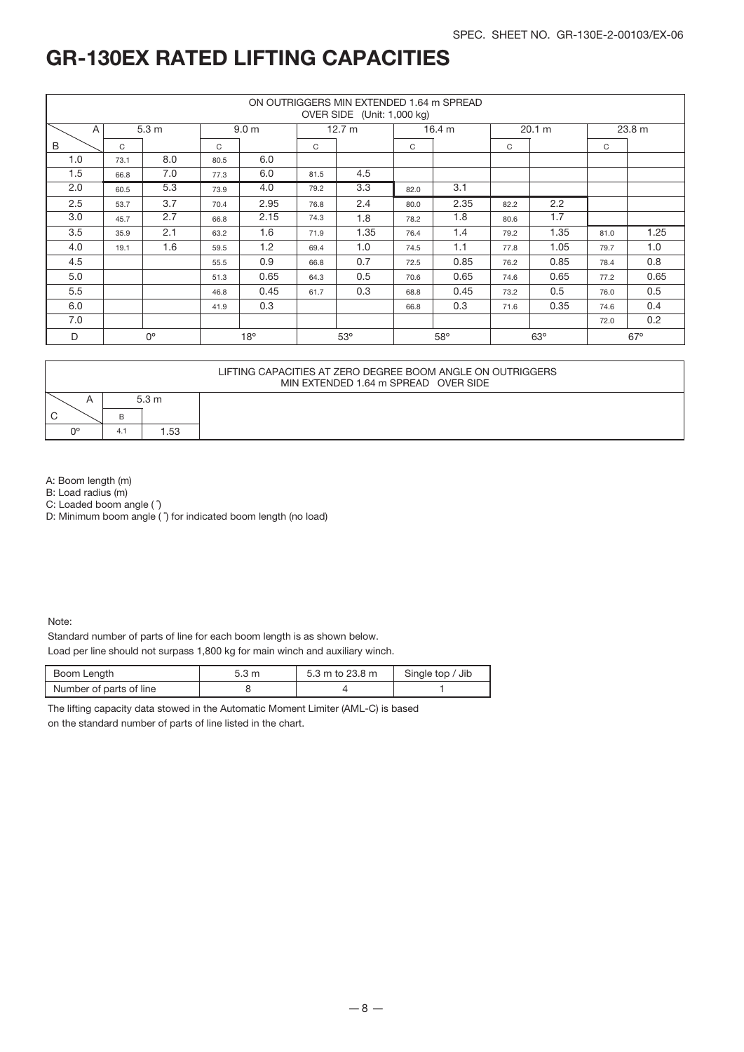|     |               |                  |      |                  |             | ON OUTRIGGERS MIN EXTENDED 1.64 m SPREAD<br>OVER SIDE (Unit: 1,000 kg) |      |            |      |            |      |            |
|-----|---------------|------------------|------|------------------|-------------|------------------------------------------------------------------------|------|------------|------|------------|------|------------|
| A   |               | 5.3 <sub>m</sub> |      | 9.0 <sub>m</sub> |             | 12.7 m                                                                 |      | 16.4 m     |      | 20.1 m     |      | 23.8 m     |
| B   | $\mathcal{C}$ |                  | C    |                  | C           |                                                                        | C    |            | C    |            | C    |            |
| 1.0 | 73.1          | 8.0              | 80.5 | 6.0              |             |                                                                        |      |            |      |            |      |            |
| 1.5 | 66.8          | 7.0              | 77.3 | 6.0              | 81.5        | 4.5                                                                    |      |            |      |            |      |            |
| 2.0 | 60.5          | 5.3              | 73.9 | 4.0              | 79.2        | 3.3                                                                    | 82.0 | 3.1        |      |            |      |            |
| 2.5 | 53.7          | 3.7              | 70.4 | 2.95             | 76.8        | 2.4                                                                    | 80.0 | 2.35       | 82.2 | 2.2        |      |            |
| 3.0 | 45.7          | 2.7              | 66.8 | 2.15             | 1.8<br>74.3 |                                                                        | 78.2 | 1.8        | 80.6 | 1.7        |      |            |
| 3.5 | 35.9          | 2.1              | 63.2 | 1.6              | 71.9        | 1.35                                                                   | 76.4 | 1.4        | 79.2 | 1.35       | 81.0 | 1.25       |
| 4.0 | 19.1          | 1.6              | 59.5 | 1.2              | 69.4        | 1.0                                                                    | 74.5 | 1.1        | 77.8 | 1.05       | 79.7 | 1.0        |
| 4.5 |               |                  | 55.5 | 0.9              | 66.8        | 0.7                                                                    | 72.5 | 0.85       | 76.2 | 0.85       | 78.4 | 0.8        |
| 5.0 |               |                  | 51.3 | 0.65             | 64.3        | 0.5                                                                    | 70.6 | 0.65       | 74.6 | 0.65       | 77.2 | 0.65       |
| 5.5 |               |                  | 46.8 | 0.45             | 61.7        | 0.3                                                                    | 68.8 | 0.45       | 73.2 | 0.5        | 76.0 | 0.5        |
| 6.0 |               |                  | 41.9 | 0.3              |             |                                                                        | 66.8 | 0.3        | 71.6 | 0.35       | 74.6 | 0.4        |
| 7.0 |               |                  |      |                  |             |                                                                        |      |            |      |            | 72.0 | 0.2        |
| D   |               | $0^{\circ}$      |      | $18^{\circ}$     |             | 53°                                                                    |      | $58^\circ$ |      | $63^\circ$ |      | $67^\circ$ |

|        |    |                 | LIFTING CAPACITIES AT ZERO DEGREE BOOM ANGLE ON OUTRIGGERS<br>MIN EXTENDED 1.64 m SPREAD OVER SIDE |
|--------|----|-----------------|----------------------------------------------------------------------------------------------------|
|        |    | $5.3 \text{ m}$ |                                                                                                    |
| ⌒<br>◡ |    |                 |                                                                                                    |
| no     | 4. | 1.53            |                                                                                                    |

A: Boom length (m)

B: Load radius (m)

C: Loaded boom angle ( ˚)

D: Minimum boom angle ( $\hat{ }$ ) for indicated boom length (no load)

Note:

Standard number of parts of line for each boom length is as shown below.

Load per line should not surpass 1,800 kg for main winch and auxiliary winch.

| Boom Length             | 5.3 m | 5.3 m to 23.8 m | Single top / Jib |
|-------------------------|-------|-----------------|------------------|
| Number of parts of line |       |                 |                  |

The lifting capacity data stowed in the Automatic Moment Limiter (AML-C) is based on the standard number of parts of line listed in the chart.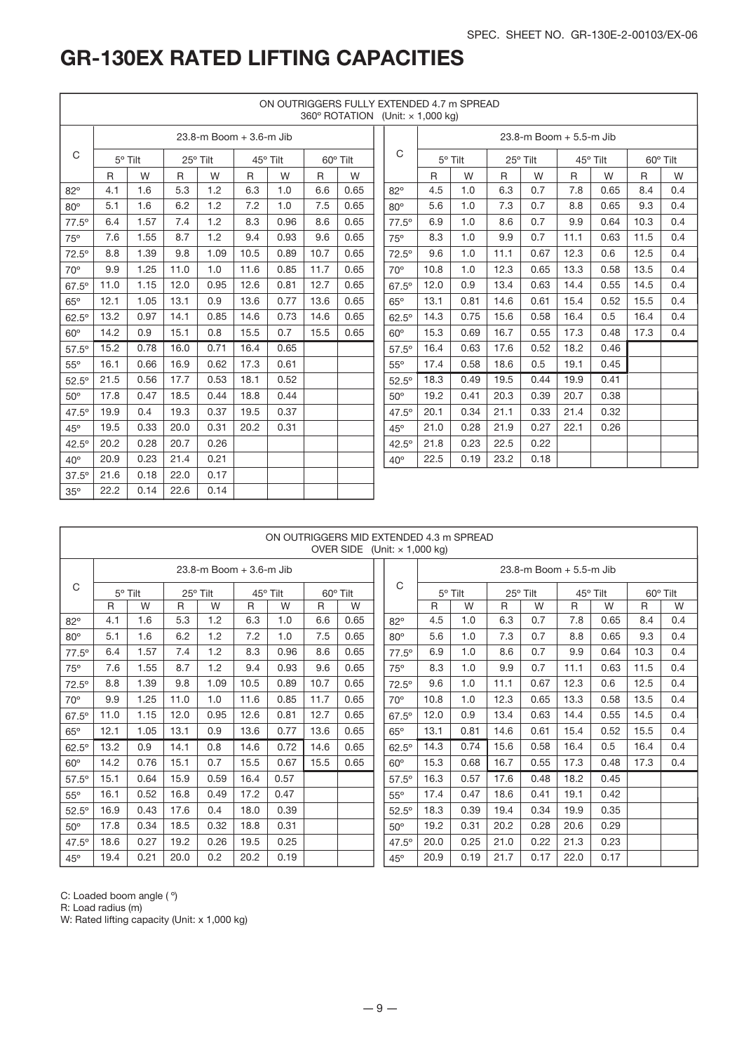|              |      |         |      |                         |      |          |      |          | ON OUTRIGGERS FULLY EXTENDED 4.7 m SPREAD<br>360° ROTATION (Unit: x 1,000 kg) |      |         |      |                         |      |          |      |          |
|--------------|------|---------|------|-------------------------|------|----------|------|----------|-------------------------------------------------------------------------------|------|---------|------|-------------------------|------|----------|------|----------|
|              |      |         |      | 23.8-m Boom + 3.6-m Jib |      |          |      |          |                                                                               |      |         |      | 23.8-m Boom + 5.5-m Jib |      |          |      |          |
| C            |      | 5° Tilt |      | 25° Tilt                |      | 45° Tilt |      | 60° Tilt | C                                                                             |      | 5° Tilt |      | 25° Tilt                |      | 45° Tilt |      | 60° Tilt |
|              | R    | W       | R    | W                       | R.   | W        | R    | W        |                                                                               | R    | W       | R    | W                       | R    | W        | R.   | W        |
| $82^\circ$   | 4.1  | 1.6     | 5.3  | 1.2                     | 6.3  | 1.0      | 6.6  | 0.65     | $82^\circ$                                                                    | 4.5  | 1.0     | 6.3  | 0.7                     | 7.8  | 0.65     | 8.4  | 0.4      |
| $80^\circ$   | 5.1  | 1.6     | 6.2  | 1.2                     | 7.2  | 1.0      | 7.5  | 0.65     | $80^\circ$                                                                    | 5.6  | 1.0     | 7.3  | 0.7                     | 8.8  | 0.65     | 9.3  | 0.4      |
| $77.5^\circ$ | 6.4  | 1.57    | 7.4  | 1.2                     | 8.3  | 0.96     | 8.6  | 0.65     | $77.5^\circ$                                                                  | 6.9  | 1.0     | 8.6  | 0.7                     | 9.9  | 0.64     | 10.3 | 0.4      |
| 75°          | 7.6  | 1.55    | 8.7  | 1.2                     | 9.4  | 0.93     | 9.6  | 0.65     | 75°                                                                           | 8.3  | 1.0     | 9.9  | 0.7                     | 11.1 | 0.63     | 11.5 | 0.4      |
| $72.5^\circ$ | 8.8  | 1.39    | 9.8  | 1.09                    | 10.5 | 0.89     | 10.7 | 0.65     | $72.5^\circ$                                                                  | 9.6  | 1.0     | 11.1 | 0.67                    | 12.3 | 0.6      | 12.5 | 0.4      |
| $70^\circ$   | 9.9  | 1.25    | 11.0 | 1.0                     | 11.6 | 0.85     | 11.7 | 0.65     | $70^\circ$                                                                    | 10.8 | 1.0     | 12.3 | 0.65                    | 13.3 | 0.58     | 13.5 | 0.4      |
| $67.5^\circ$ | 11.0 | 1.15    | 12.0 | 0.95                    | 12.6 | 0.81     | 12.7 | 0.65     | $67.5^\circ$                                                                  | 12.0 | 0.9     | 13.4 | 0.63                    | 14.4 | 0.55     | 14.5 | 0.4      |
| $65^\circ$   | 12.1 | 1.05    | 13.1 | 0.9                     | 13.6 | 0.77     | 13.6 | 0.65     | $65^\circ$                                                                    | 13.1 | 0.81    | 14.6 | 0.61                    | 15.4 | 0.52     | 15.5 | 0.4      |
| $62.5^\circ$ | 13.2 | 0.97    | 14.1 | 0.85                    | 14.6 | 0.73     | 14.6 | 0.65     | $62.5^\circ$                                                                  | 14.3 | 0.75    | 15.6 | 0.58                    | 16.4 | 0.5      | 16.4 | 0.4      |
| $60^\circ$   | 14.2 | 0.9     | 15.1 | 0.8                     | 15.5 | 0.7      | 15.5 | 0.65     | $60^\circ$                                                                    | 15.3 | 0.69    | 16.7 | 0.55                    | 17.3 | 0.48     | 17.3 | 0.4      |
| $57.5^\circ$ | 15.2 | 0.78    | 16.0 | 0.71                    | 16.4 | 0.65     |      |          | $57.5^\circ$                                                                  | 16.4 | 0.63    | 17.6 | 0.52                    | 18.2 | 0.46     |      |          |
| $55^\circ$   | 16.1 | 0.66    | 16.9 | 0.62                    | 17.3 | 0.61     |      |          | $55^{\circ}$                                                                  | 17.4 | 0.58    | 18.6 | 0.5                     | 19.1 | 0.45     |      |          |
| $52.5^\circ$ | 21.5 | 0.56    | 17.7 | 0.53                    | 18.1 | 0.52     |      |          | $52.5^\circ$                                                                  | 18.3 | 0.49    | 19.5 | 0.44                    | 19.9 | 0.41     |      |          |
| $50^\circ$   | 17.8 | 0.47    | 18.5 | 0.44                    | 18.8 | 0.44     |      |          | $50^\circ$                                                                    | 19.2 | 0.41    | 20.3 | 0.39                    | 20.7 | 0.38     |      |          |
| $47.5^\circ$ | 19.9 | 0.4     | 19.3 | 0.37                    | 19.5 | 0.37     |      |          | $47.5^\circ$                                                                  | 20.1 | 0.34    | 21.1 | 0.33                    | 21.4 | 0.32     |      |          |
| $45^\circ$   | 19.5 | 0.33    | 20.0 | 0.31                    | 20.2 | 0.31     |      |          | $45^\circ$                                                                    | 21.0 | 0.28    | 21.9 | 0.27                    | 22.1 | 0.26     |      |          |
| $42.5^\circ$ | 20.2 | 0.28    | 20.7 | 0.26                    |      |          |      |          | $42.5^\circ$                                                                  | 21.8 | 0.23    | 22.5 | 0.22                    |      |          |      |          |
| $40^\circ$   | 20.9 | 0.23    | 21.4 | 0.21                    |      |          |      |          | $40^{\circ}$                                                                  | 22.5 | 0.19    | 23.2 | 0.18                    |      |          |      |          |
| $37.5^\circ$ | 21.6 | 0.18    | 22.0 | 0.17                    |      |          |      |          |                                                                               |      |         |      |                         |      |          |      |          |
| $35^\circ$   | 22.2 | 0.14    | 22.6 | 0.14                    |      |          |      |          |                                                                               |      |         |      |                         |      |          |      |          |

|              |                                                 |                |      |                         |      |          |      | ON OUTRIGGERS MID EXTENDED 4.3 m SPREAD<br>OVER SIDE (Unit: $\times$ 1,000 kg) |              |              |                |              |                         |          |      |      |          |
|--------------|-------------------------------------------------|----------------|------|-------------------------|------|----------|------|--------------------------------------------------------------------------------|--------------|--------------|----------------|--------------|-------------------------|----------|------|------|----------|
|              |                                                 |                |      | 23.8-m Boom + 3.6-m Jib |      |          |      |                                                                                |              |              |                |              | 23.8-m Boom + 5.5-m Jib |          |      |      |          |
| C            |                                                 | $5^\circ$ Tilt |      | 25° Tilt                |      | 45° Tilt |      | 60° Tilt                                                                       | C            |              | $5^\circ$ Tilt |              | 25° Tilt                | 45° Tilt |      |      | 60° Tilt |
|              | $\mathsf{R}$                                    | W              | R    | W                       | R    | W        | R    | W                                                                              |              | $\mathsf{R}$ | W              | $\mathsf{R}$ | W                       | R        | W    | R    | W        |
| $82^\circ$   | 4.1                                             | 1.6            | 5.3  | 1.2                     | 6.3  | 1.0      | 6.6  | 0.65                                                                           | $82^\circ$   | 4.5          | 1.0            | 6.3          | 0.7                     | 7.8      | 0.65 | 8.4  | 0.4      |
| $80^\circ$   | 5.1                                             | 1.6            | 6.2  | 1.2                     | 7.2  | 1.0      | 7.5  | 0.65                                                                           | $80^\circ$   | 5.6          | 1.0            | 7.3          | 0.7                     | 8.8      | 0.65 | 9.3  | 0.4      |
| $77.5^\circ$ | 6.4                                             | 1.57           | 7.4  | 1.2                     | 8.3  | 0.96     | 8.6  | 0.65                                                                           | $77.5^\circ$ | 6.9          | 1.0            | 8.6          | 0.7                     | 9.9      | 0.64 | 10.3 | 0.4      |
| 75°          | 8.7<br>9.4<br>9.6<br>7.6<br>1.55<br>1.2<br>0.93 |                |      |                         |      | 0.65     | 75°  | 8.3                                                                            | 1.0          | 9.9          | 0.7            | 11.1         | 0.63                    | 11.5     | 0.4  |      |          |
| $72.5^\circ$ | 8.8                                             | 1.39           | 9.8  | 1.09                    | 10.5 | 0.89     | 10.7 | 0.65                                                                           | $72.5^\circ$ | 9.6          | 1.0            | 11.1         | 0.67                    | 12.3     | 0.6  | 12.5 | 0.4      |
| $70^\circ$   | 9.9                                             | 1.25           | 11.0 | 1.0                     | 11.6 | 0.85     | 11.7 | 0.65                                                                           | $70^\circ$   | 10.8         | 1.0            | 12.3         | 0.65                    | 13.3     | 0.58 | 13.5 | 0.4      |
| $67.5^\circ$ | 11.0                                            | 1.15           | 12.0 | 0.95                    | 12.6 | 0.81     | 12.7 | 0.65                                                                           | $67.5^\circ$ | 12.0         | 0.9            | 13.4         | 0.63                    | 14.4     | 0.55 | 14.5 | 0.4      |
| $65^\circ$   | 12.1                                            | 1.05           | 13.1 | 0.9                     | 13.6 | 0.77     | 13.6 | 0.65                                                                           | $65^\circ$   | 13.1         | 0.81           | 14.6         | 0.61                    | 15.4     | 0.52 | 15.5 | 0.4      |
| $62.5^\circ$ | 13.2                                            | 0.9            | 14.1 | 0.8                     | 14.6 | 0.72     | 14.6 | 0.65                                                                           | $62.5^\circ$ | 14.3         | 0.74           | 15.6         | 0.58                    | 16.4     | 0.5  | 16.4 | 0.4      |
| $60^\circ$   | 14.2                                            | 0.76           | 15.1 | 0.7                     | 15.5 | 0.67     | 15.5 | 0.65                                                                           | $60^\circ$   | 15.3         | 0.68           | 16.7         | 0.55                    | 17.3     | 0.48 | 17.3 | 0.4      |
| $57.5^\circ$ | 15.1                                            | 0.64           | 15.9 | 0.59                    | 16.4 | 0.57     |      |                                                                                | $57.5^\circ$ | 16.3         | 0.57           | 17.6         | 0.48                    | 18.2     | 0.45 |      |          |
| $55^\circ$   | 16.1                                            | 0.52           | 16.8 | 0.49                    | 17.2 | 0.47     |      |                                                                                | $55^{\circ}$ | 17.4         | 0.47           | 18.6         | 0.41                    | 19.1     | 0.42 |      |          |
| $52.5^\circ$ | 16.9                                            | 0.43           | 17.6 | 0.4                     | 18.0 | 0.39     |      |                                                                                | $52.5^\circ$ | 18.3         | 0.39           | 19.4         | 0.34                    | 19.9     | 0.35 |      |          |
| $50^\circ$   | 17.8                                            | 0.34           | 18.5 | 0.32                    | 18.8 | 0.31     |      |                                                                                | $50^\circ$   | 19.2         | 0.31           | 20.2         | 0.28                    | 20.6     | 0.29 |      |          |
| $47.5^\circ$ | 18.6                                            | 0.27           | 19.2 | 0.26                    | 19.5 | 0.25     |      |                                                                                | $47.5^\circ$ | 20.0         | 0.25           | 21.0         | 0.22                    | 21.3     | 0.23 |      |          |
| $45^\circ$   | 19.4                                            | 0.21           | 20.0 | 0.2                     | 20.2 | 0.19     |      |                                                                                | 45°          | 20.9         | 0.19           | 21.7         | 0.17                    | 22.0     | 0.17 |      |          |

C: Loaded boom angle ( º)

R: Load radius (m)

W: Rated lifting capacity (Unit: x 1,000 kg)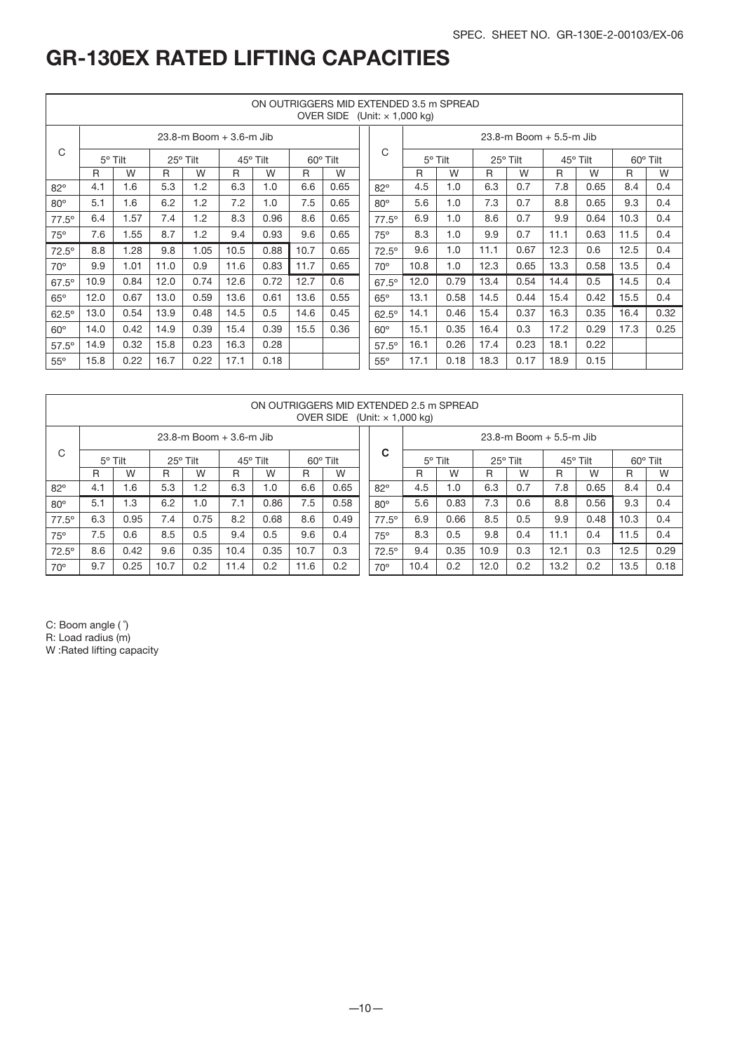|              |                  |      |          |                         |          |          |      | ON OUTRIGGERS MID EXTENDED 3.5 m SPREAD<br>OVER SIDE (Unit: $\times$ 1,000 kg) |                |      |         |          |                         |      |          |              |          |
|--------------|------------------|------|----------|-------------------------|----------|----------|------|--------------------------------------------------------------------------------|----------------|------|---------|----------|-------------------------|------|----------|--------------|----------|
|              |                  |      |          | 23.8-m Boom + 3.6-m Jib |          |          |      |                                                                                |                |      |         |          | 23.8-m Boom + 5.5-m Jib |      |          |              |          |
| C            | $5^{\circ}$ Tilt |      | 25° Tilt |                         | 45° Tilt | 60° Tilt |      |                                                                                | C              |      | 5° Tilt | 25° Tilt |                         |      | 45° Tilt |              | 60° Tilt |
|              | R                | W    | R        | W                       | R        | W        | R    | W                                                                              |                | R    | W       | R        | W                       | R    | W        | $\mathsf{R}$ | W        |
| $82^\circ$   | 4.1              | 1.6  | 5.3      | 1.2                     | 6.3      | 1.0      | 6.6  | 0.65                                                                           | $82^\circ$     | 4.5  | 1.0     | 6.3      | 0.7                     | 7.8  | 0.65     | 8.4          | 0.4      |
| $80^\circ$   | 5.1              | 1.6  | 6.2      | 1.2                     | 7.2      | 1.0      | 7.5  | 0.65                                                                           | $80^\circ$     | 5.6  | 1.0     | 7.3      | 0.7                     | 8.8  | 0.65     | 9.3          | 0.4      |
| $77.5^\circ$ | 6.4              | 1.57 | 7.4      | 1.2                     | 8.3      | 0.96     | 8.6  | 0.65                                                                           | $77.5^{\circ}$ | 6.9  | 1.0     | 8.6      | 0.7                     | 9.9  | 0.64     | 10.3         | 0.4      |
| $75^\circ$   | 7.6              | 1.55 | 8.7      | 1.2                     | 9.4      | 0.93     | 9.6  | 0.65                                                                           | 75°            | 8.3  | 1.0     | 9.9      | 0.7                     | 11.1 | 0.63     | 11.5         | 0.4      |
| $72.5^\circ$ | 8.8              | 1.28 | 9.8      | 1.05                    | 10.5     | 0.88     | 10.7 | 0.65                                                                           | $72.5^\circ$   | 9.6  | 1.0     | 11.1     | 0.67                    | 12.3 | 0.6      | 12.5         | 0.4      |
| $70^{\circ}$ | 9.9              | 1.01 | 11.0     | 0.9                     | 11.6     | 0.83     | 11.7 | 0.65                                                                           | $70^{\circ}$   | 10.8 | 1.0     | 12.3     | 0.65                    | 13.3 | 0.58     | 13.5         | 0.4      |
| $67.5^\circ$ | 10.9             | 0.84 | 12.0     | 0.74                    | 12.6     | 0.72     | 12.7 | 0.6                                                                            | $67.5^\circ$   | 12.0 | 0.79    | 13.4     | 0.54                    | 14.4 | 0.5      | 14.5         | 0.4      |
| $65^\circ$   | 12.0             | 0.67 | 13.0     | 0.59                    | 13.6     | 0.61     | 13.6 | 0.55                                                                           | $65^\circ$     | 13.1 | 0.58    | 14.5     | 0.44                    | 15.4 | 0.42     | 15.5         | 0.4      |
| $62.5^\circ$ | 13.0             | 0.54 | 13.9     | 0.48                    | 14.5     | 0.5      | 14.6 | 0.45                                                                           | $62.5^\circ$   | 14.1 | 0.46    | 15.4     | 0.37                    | 16.3 | 0.35     | 16.4         | 0.32     |
| $60^\circ$   | 14.0             | 0.42 | 14.9     | 0.39                    | 15.4     | 0.39     | 15.5 | 0.36                                                                           | $60^\circ$     | 15.1 | 0.35    | 16.4     | 0.3                     | 17.2 | 0.29     | 17.3         | 0.25     |
| $57.5^\circ$ | 14.9             | 0.32 | 15.8     | 0.23                    | 16.3     | 0.28     |      |                                                                                | $57.5^\circ$   | 16.1 | 0.26    | 17.4     | 0.23                    | 18.1 | 0.22     |              |          |
| $55^{\circ}$ | 15.8             | 0.22 | 16.7     | 0.22                    | 17.1     | 0.18     |      |                                                                                | $55^{\circ}$   | 17.1 | 0.18    | 18.3     | 0.17                    | 18.9 | 0.15     |              |          |

|                |                                                           |      |      |                                 |      |      |      | ON OUTRIGGERS MID EXTENDED 2.5 m SPREAD<br>OVER SIDE (Unit: $\times$ 1,000 kg) |  |                |                |                                 |          |     |      |          |          |      |
|----------------|-----------------------------------------------------------|------|------|---------------------------------|------|------|------|--------------------------------------------------------------------------------|--|----------------|----------------|---------------------------------|----------|-----|------|----------|----------|------|
|                |                                                           |      |      | $23.8 - m$ Boom $+ 3.6 - m$ Jib |      |      |      |                                                                                |  |                |                | $23.8 - m$ Boom $+ 5.5 - m$ Jib |          |     |      |          |          |      |
| C              | $5^\circ$ Tilt<br>25° Tilt<br>45° Tilt<br>$60^\circ$ Tilt |      |      |                                 |      |      |      |                                                                                |  | C              | $5^\circ$ Tilt |                                 | 25° Tilt |     |      | 45° Tilt | 60° Tilt |      |
|                | R                                                         | W    | R    | W                               | R    | W    | R    | W                                                                              |  |                | R              | W                               | R        | W   | R    | W        | R        | W    |
| $82^\circ$     | 4.1                                                       | 6.1  | 5.3  | 1.2                             | 6.3  | 1.0  | 6.6  | 0.65                                                                           |  | $82^\circ$     | 4.5            | 1.0                             | 6.3      | 0.7 | 7.8  | 0.65     | 8.4      | 0.4  |
| $80^\circ$     | 5.1                                                       | 1.3  | 6.2  | 1.0                             | 7.1  | 0.86 | 7.5  | 0.58                                                                           |  | $80^\circ$     | 5.6            | 0.83                            | 7.3      | 0.6 | 8.8  | 0.56     | 9.3      | 0.4  |
| $77.5^{\circ}$ | 6.3                                                       | 0.95 | 7.4  | 0.75                            | 8.2  | 0.68 | 8.6  | 0.49                                                                           |  | $77.5^{\circ}$ | 6.9            | 0.66                            | 8.5      | 0.5 | 9.9  | 0.48     | 10.3     | 0.4  |
| $75^\circ$     | 7.5                                                       | 0.6  | 8.5  | 0.5                             | 9.4  | 0.5  | 9.6  | 0.4                                                                            |  | 75°            | 8.3            | 0.5                             | 9.8      | 0.4 | 11.1 | 0.4      | 11.5     | 0.4  |
| $72.5^\circ$   | 8.6                                                       | 0.42 | 9.6  | 0.35                            | 10.4 | 0.35 | 10.7 | 0.3                                                                            |  | $72.5^{\circ}$ | 9.4            | 0.35                            | 10.9     | 0.3 | 12.1 | 0.3      | 12.5     | 0.29 |
| $70^\circ$     | 9.7                                                       | 0.25 | 10.7 | 0.2                             | 11.4 | 0.2  | 11.6 | 0.2                                                                            |  | $70^\circ$     | 10.4           | 0.2                             | 12.0     | 0.2 | 13.2 | 0.2      | 13.5     | 0.18 |

C: Boom angle (  $\degree$ )

R: Load radius (m)

W :Rated lifting capacity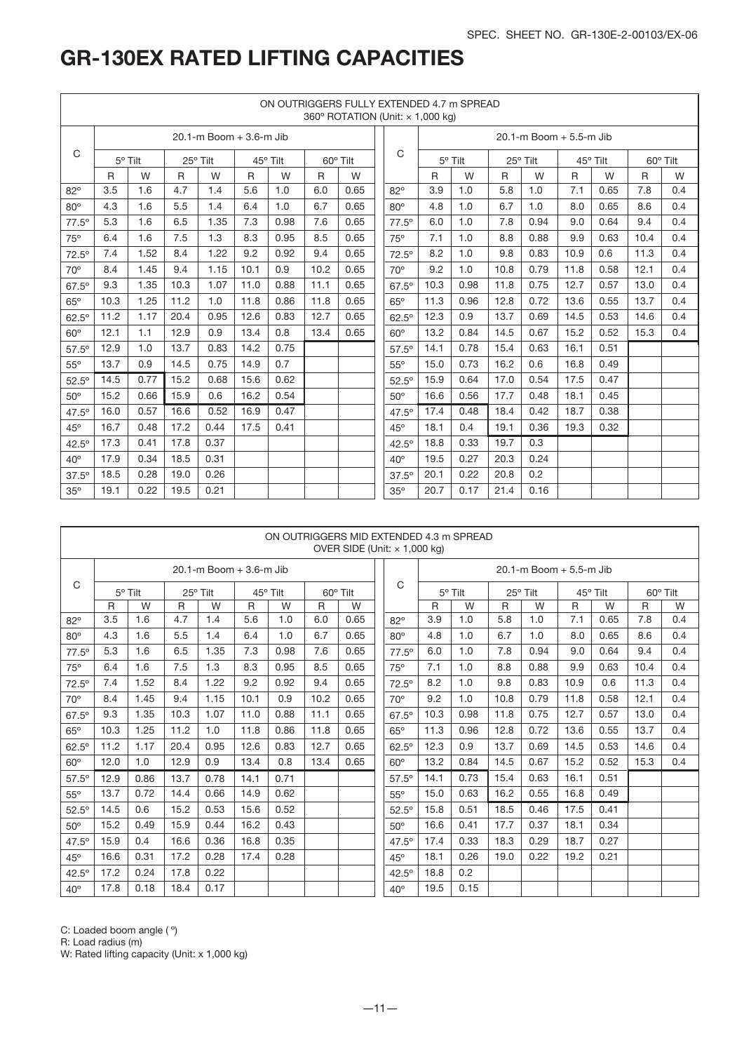|              |              |         |      |                         |      |          |              |          | ON OUTRIGGERS FULLY EXTENDED 4.7 m SPREAD<br>360° ROTATION (Unit: x 1,000 kg) |              |         |      |                         |      |          |      |          |
|--------------|--------------|---------|------|-------------------------|------|----------|--------------|----------|-------------------------------------------------------------------------------|--------------|---------|------|-------------------------|------|----------|------|----------|
|              |              |         |      | 20.1-m Boom + 3.6-m Jib |      |          |              |          |                                                                               |              |         |      | 20.1-m Boom + 5.5-m Jib |      |          |      |          |
| C            |              | 5° Tilt |      | 25° Tilt                |      | 45° Tilt |              | 60° Tilt | C                                                                             |              | 5° Tilt |      | 25° Tilt                |      | 45° Tilt |      | 60° Tilt |
|              | $\mathsf{R}$ | W       | R    | W                       | R    | W        | $\mathsf{R}$ | W        |                                                                               | $\mathsf{R}$ | W       | R    | W                       | R    | W        | R    | W        |
| $82^\circ$   | 3.5          | 1.6     | 4.7  | 1.4                     | 5.6  | 1.0      | 6.0          | 0.65     | $82^\circ$                                                                    | 3.9          | 1.0     | 5.8  | 1.0                     | 7.1  | 0.65     | 7.8  | 0.4      |
| $80^\circ$   | 4.3          | 1.6     | 5.5  | 1.4                     | 6.4  | 1.0      | 6.7          | 0.65     | $80^\circ$                                                                    | 4.8          | 1.0     | 6.7  | 1.0                     | 8.0  | 0.65     | 8.6  | 0.4      |
| $77.5^\circ$ | 5.3          | 1.6     | 6.5  | 1.35                    | 7.3  | 0.98     | 7.6          | 0.65     | $77.5^\circ$                                                                  | 6.0          | 1.0     | 7.8  | 0.94                    | 9.0  | 0.64     | 9.4  | 0.4      |
| $75^\circ$   | 6.4          | 1.6     | 7.5  | 1.3                     | 8.3  | 0.95     | 8.5          | 0.65     | 75°                                                                           | 7.1          | 1.0     | 8.8  | 0.88                    | 9.9  | 0.63     | 10.4 | 0.4      |
| $72.5^\circ$ | 7.4          | 1.52    | 8.4  | 1.22                    | 9.2  | 0.92     | 9.4          | 0.65     | $72.5^\circ$                                                                  | 8.2          | 1.0     | 9.8  | 0.83                    | 10.9 | 0.6      | 11.3 | 0.4      |
| $70^{\circ}$ | 8.4          | 1.45    | 9.4  | 1.15                    | 10.1 | 0.9      | 10.2         | 0.65     | $70^\circ$                                                                    | 9.2          | 1.0     | 10.8 | 0.79                    | 11.8 | 0.58     | 12.1 | 0.4      |
| $67.5^\circ$ | 9.3          | 1.35    | 10.3 | 1.07                    | 11.0 | 0.88     | 11.1         | 0.65     | $67.5^\circ$                                                                  | 10.3         | 0.98    | 11.8 | 0.75                    | 12.7 | 0.57     | 13.0 | 0.4      |
| $65^\circ$   | 10.3         | 1.25    | 11.2 | 1.0                     | 11.8 | 0.86     | 11.8         | 0.65     | $65^\circ$                                                                    | 11.3         | 0.96    | 12.8 | 0.72                    | 13.6 | 0.55     | 13.7 | 0.4      |
| $62.5^\circ$ | 11.2         | 1.17    | 20.4 | 0.95                    | 12.6 | 0.83     | 12.7         | 0.65     | $62.5^\circ$                                                                  | 12.3         | 0.9     | 13.7 | 0.69                    | 14.5 | 0.53     | 14.6 | 0.4      |
| $60^\circ$   | 12.1         | 1.1     | 12.9 | 0.9                     | 13.4 | 0.8      | 13.4         | 0.65     | $60^\circ$                                                                    | 13.2         | 0.84    | 14.5 | 0.67                    | 15.2 | 0.52     | 15.3 | 0.4      |
| $57.5^\circ$ | 12.9         | 1.0     | 13.7 | 0.83                    | 14.2 | 0.75     |              |          | $57.5^{\circ}$                                                                | 14.1         | 0.78    | 15.4 | 0.63                    | 16.1 | 0.51     |      |          |
| $55^\circ$   | 13.7         | 0.9     | 14.5 | 0.75                    | 14.9 | 0.7      |              |          | $55^\circ$                                                                    | 15.0         | 0.73    | 16.2 | 0.6                     | 16.8 | 0.49     |      |          |
| $52.5^\circ$ | 14.5         | 0.77    | 15.2 | 0.68                    | 15.6 | 0.62     |              |          | $52.5^\circ$                                                                  | 15.9         | 0.64    | 17.0 | 0.54                    | 17.5 | 0.47     |      |          |
| $50^\circ$   | 15.2         | 0.66    | 15.9 | 0.6                     | 16.2 | 0.54     |              |          | $50^\circ$                                                                    | 16.6         | 0.56    | 17.7 | 0.48                    | 18.1 | 0.45     |      |          |
| $47.5^\circ$ | 16.0         | 0.57    | 16.6 | 0.52                    | 16.9 | 0.47     |              |          | $47.5^\circ$                                                                  | 17.4         | 0.48    | 18.4 | 0.42                    | 18.7 | 0.38     |      |          |
| $45^\circ$   | 16.7         | 0.48    | 17.2 | 0.44                    | 17.5 | 0.41     |              |          | 45°                                                                           | 18.1         | 0.4     | 19.1 | 0.36                    | 19.3 | 0.32     |      |          |
| $42.5^\circ$ | 17.3         | 0.41    | 17.8 | 0.37                    |      |          |              |          | $42.5^\circ$                                                                  | 18.8         | 0.33    | 19.7 | 0.3                     |      |          |      |          |
| $40^{\circ}$ | 17.9         | 0.34    | 18.5 | 0.31                    |      |          |              |          | $40^{\circ}$                                                                  | 19.5         | 0.27    | 20.3 | 0.24                    |      |          |      |          |
| $37.5^\circ$ | 18.5         | 0.28    | 19.0 | 0.26                    |      |          |              |          | $37.5^\circ$                                                                  | 20.1         | 0.22    | 20.8 | 0.2                     |      |          |      |          |
| $35^\circ$   | 19.1         | 0.22    | 19.5 | 0.21                    |      |          |              |          | $35^\circ$                                                                    | 20.7         | 0.17    | 21.4 | 0.16                    |      |          |      |          |

|                | ON OUTRIGGERS MID EXTENDED 4.3 m SPREAD<br>OVER SIDE (Unit: $\times$ 1,000 kg) |                |              |                         |      |          |              |                 |                |      |                  |              |                         |              |          |              |          |
|----------------|--------------------------------------------------------------------------------|----------------|--------------|-------------------------|------|----------|--------------|-----------------|----------------|------|------------------|--------------|-------------------------|--------------|----------|--------------|----------|
|                |                                                                                |                |              | 20.1-m Boom + 3.6-m Jib |      |          |              |                 |                |      |                  |              | 20.1-m Boom + 5.5-m Jib |              |          |              |          |
| C              |                                                                                | $5^\circ$ Tilt |              | 25° Tilt                |      | 45° Tilt |              | $60^\circ$ Tilt | C              |      | $5^{\circ}$ Tilt |              | 25° Tilt                |              | 45° Tilt |              | 60° Tilt |
|                | $\mathsf{R}$                                                                   | W              | $\mathsf{R}$ | W                       | R    | W        | $\mathsf{R}$ | W               |                | R    | W                | $\mathsf{R}$ | W                       | $\mathsf{R}$ | W        | $\mathsf{R}$ | W        |
| $82^\circ$     | 3.5                                                                            | 1.6            | 4.7          | 1.4                     | 5.6  | 1.0      | 6.0          | 0.65            | $82^\circ$     | 3.9  | 1.0              | 5.8          | 1.0                     | 7.1          | 0.65     | 7.8          | 0.4      |
| $80^\circ$     | 4.3                                                                            | 1.6            | 5.5          | 1.4                     | 6.4  | 1.0      | 6.7          | 0.65            | $80^\circ$     | 4.8  | 1.0              | 6.7          | 1.0                     | 8.0          | 0.65     | 8.6          | 0.4      |
| $77.5^{\circ}$ | 5.3                                                                            | 1.6            | 6.5          | 1.35                    | 7.3  | 0.98     | 7.6          | 0.65            | $77.5^{\circ}$ | 6.0  | 1.0              | 7.8          | 0.94                    | 9.0          | 0.64     | 9.4          | 0.4      |
| 75°            | 6.4                                                                            | 1.6            | 7.5          | 1.3                     | 8.3  | 0.95     | 8.5          | 0.65            | 75°            | 7.1  | 1.0              | 8.8          | 0.88                    | 9.9          | 0.63     | 10.4         | 0.4      |
| $72.5^\circ$   | 7.4                                                                            | 1.52           | 8.4          | 1.22                    | 9.2  | 0.92     | 9.4          | 0.65            | $72.5^{\circ}$ | 8.2  | 1.0              | 9.8          | 0.83                    | 10.9         | 0.6      | 11.3         | 0.4      |
| $70^{\circ}$   | 8.4                                                                            | 1.45           | 9.4          | 1.15                    | 10.1 | 0.9      | 10.2         | 0.65            | $70^\circ$     | 9.2  | 1.0              | 10.8         | 0.79                    | 11.8         | 0.58     | 12.1         | 0.4      |
| $67.5^\circ$   | 9.3                                                                            | 1.35           | 10.3         | 1.07                    | 11.0 | 0.88     | 11.1         | 0.65            | $67.5^\circ$   | 10.3 | 0.98             | 11.8         | 0.75                    | 12.7         | 0.57     | 13.0         | 0.4      |
| $65^\circ$     | 10.3                                                                           | 1.25           | 11.2         | 1.0                     | 11.8 | 0.86     | 11.8         | 0.65            | $65^\circ$     | 11.3 | 0.96             | 12.8         | 0.72                    | 13.6         | 0.55     | 13.7         | 0.4      |
| $62.5^\circ$   | 11.2                                                                           | 1.17           | 20.4         | 0.95                    | 12.6 | 0.83     | 12.7         | 0.65            | $62.5^{\circ}$ | 12.3 | 0.9              | 13.7         | 0.69                    | 14.5         | 0.53     | 14.6         | 0.4      |
| $60^\circ$     | 12.0                                                                           | 1.0            | 12.9         | 0.9                     | 13.4 | 0.8      | 13.4         | 0.65            | $60^\circ$     | 13.2 | 0.84             | 14.5         | 0.67                    | 15.2         | 0.52     | 15.3         | 0.4      |
| $57.5^\circ$   | 12.9                                                                           | 0.86           | 13.7         | 0.78                    | 14.1 | 0.71     |              |                 | $57.5^\circ$   | 14.1 | 0.73             | 15.4         | 0.63                    | 16.1         | 0.51     |              |          |
| $55^\circ$     | 13.7                                                                           | 0.72           | 14.4         | 0.66                    | 14.9 | 0.62     |              |                 | $55^\circ$     | 15.0 | 0.63             | 16.2         | 0.55                    | 16.8         | 0.49     |              |          |
| $52.5^\circ$   | 14.5                                                                           | 0.6            | 15.2         | 0.53                    | 15.6 | 0.52     |              |                 | $52.5^\circ$   | 15.8 | 0.51             | 18.5         | 0.46                    | 17.5         | 0.41     |              |          |
| $50^\circ$     | 15.2                                                                           | 0.49           | 15.9         | 0.44                    | 16.2 | 0.43     |              |                 | $50^\circ$     | 16.6 | 0.41             | 17.7         | 0.37                    | 18.1         | 0.34     |              |          |
| $47.5^\circ$   | 15.9                                                                           | 0.4            | 16.6         | 0.36                    | 16.8 | 0.35     |              |                 | $47.5^\circ$   | 17.4 | 0.33             | 18.3         | 0.29                    | 18.7         | 0.27     |              |          |
| $45^{\circ}$   | 16.6                                                                           | 0.31           | 17.2         | 0.28                    | 17.4 | 0.28     |              |                 | $45^\circ$     | 18.1 | 0.26             | 19.0         | 0.22                    | 19.2         | 0.21     |              |          |
| $42.5^\circ$   | 17.2                                                                           | 0.24           | 17.8         | 0.22                    |      |          |              |                 | $42.5^\circ$   | 18.8 | 0.2              |              |                         |              |          |              |          |

C: Loaded boom angle ( º)

R: Load radius (m)

W: Rated lifting capacity (Unit: x 1,000 kg)

40<sup>°</sup> 17.8 0.18 18.4 0.17 1 40<sup>°</sup> 19.5 0.15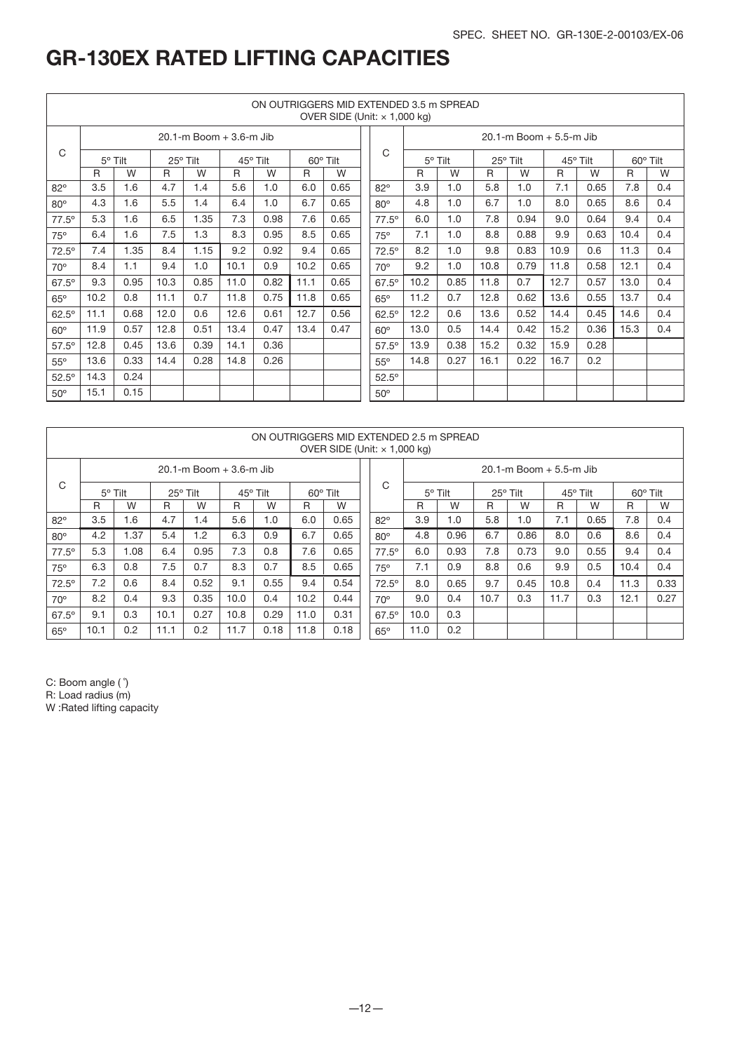|              | ON OUTRIGGERS MID EXTENDED 3.5 m SPREAD<br>OVER SIDE (Unit: $\times$ 1,000 kg) |                |      |                         |      |          |      |          |                |      |         |      |                         |      |          |              |          |
|--------------|--------------------------------------------------------------------------------|----------------|------|-------------------------|------|----------|------|----------|----------------|------|---------|------|-------------------------|------|----------|--------------|----------|
|              |                                                                                |                |      | 20.1-m Boom + 3.6-m Jib |      |          |      |          |                |      |         |      | 20.1-m Boom + 5.5-m Jib |      |          |              |          |
| C            |                                                                                | $5^\circ$ Tilt |      | 25° Tilt                |      | 45° Tilt |      | 60° Tilt | C              |      | 5° Tilt |      | 25° Tilt                |      | 45° Tilt |              | 60° Tilt |
|              | R                                                                              | W              | R    | W                       | R    | W        | R    | W        |                | R    | W       | R    | W                       | R    | W        | $\mathsf{R}$ | W        |
| $82^\circ$   | 3.5                                                                            | 1.6            | 4.7  | 1.4                     | 5.6  | 1.0      | 6.0  | 0.65     | $82^\circ$     | 3.9  | 1.0     | 5.8  | 1.0                     | 7.1  | 0.65     | 7.8          | 0.4      |
| $80^\circ$   | 4.3                                                                            | 1.6            | 5.5  | 1.4                     | 6.4  | 1.0      | 6.7  | 0.65     | $80^\circ$     | 4.8  | 1.0     | 6.7  | 1.0                     | 8.0  | 0.65     | 8.6          | 0.4      |
| $77.5^\circ$ | 5.3                                                                            | 1.6            | 6.5  | 1.35                    | 7.3  | 0.98     | 7.6  | 0.65     | $77.5^\circ$   | 6.0  | 1.0     | 7.8  | 0.94                    | 9.0  | 0.64     | 9.4          | 0.4      |
| $75^\circ$   | 6.4                                                                            | 1.6            | 7.5  | 1.3                     | 8.3  | 0.95     | 8.5  | 0.65     | 75°            | 7.1  | 1.0     | 8.8  | 0.88                    | 9.9  | 0.63     | 10.4         | 0.4      |
| $72.5^\circ$ | 7.4                                                                            | 1.35           | 8.4  | 1.15                    | 9.2  | 0.92     | 9.4  | 0.65     | $72.5^{\circ}$ | 8.2  | 1.0     | 9.8  | 0.83                    | 10.9 | 0.6      | 11.3         | 0.4      |
| $70^{\circ}$ | 8.4                                                                            | 1.1            | 9.4  | 1.0                     | 10.1 | 0.9      | 10.2 | 0.65     | $70^\circ$     | 9.2  | 1.0     | 10.8 | 0.79                    | 11.8 | 0.58     | 12.1         | 0.4      |
| $67.5^\circ$ | 9.3                                                                            | 0.95           | 10.3 | 0.85                    | 11.0 | 0.82     | 11.1 | 0.65     | $67.5^\circ$   | 10.2 | 0.85    | 11.8 | 0.7                     | 12.7 | 0.57     | 13.0         | 0.4      |
| $65^\circ$   | 10.2                                                                           | 0.8            | 11.1 | 0.7                     | 11.8 | 0.75     | 11.8 | 0.65     | $65^\circ$     | 11.2 | 0.7     | 12.8 | 0.62                    | 13.6 | 0.55     | 13.7         | 0.4      |
| $62.5^\circ$ | 11.1                                                                           | 0.68           | 12.0 | 0.6                     | 12.6 | 0.61     | 12.7 | 0.56     | $62.5^\circ$   | 12.2 | 0.6     | 13.6 | 0.52                    | 14.4 | 0.45     | 14.6         | 0.4      |
| $60^\circ$   | 11.9                                                                           | 0.57           | 12.8 | 0.51                    | 13.4 | 0.47     | 13.4 | 0.47     | $60^\circ$     | 13.0 | 0.5     | 14.4 | 0.42                    | 15.2 | 0.36     | 15.3         | 0.4      |
| $57.5^\circ$ | 12.8                                                                           | 0.45           | 13.6 | 0.39                    | 14.1 | 0.36     |      |          | $57.5^\circ$   | 13.9 | 0.38    | 15.2 | 0.32                    | 15.9 | 0.28     |              |          |
| $55^{\circ}$ | 13.6                                                                           | 0.33           | 14.4 | 0.28                    | 14.8 | 0.26     |      |          | $55^\circ$     | 14.8 | 0.27    | 16.1 | 0.22                    | 16.7 | 0.2      |              |          |
| $52.5^\circ$ | 14.3                                                                           | 0.24           |      |                         |      |          |      |          | $52.5^\circ$   |      |         |      |                         |      |          |              |          |
| $50^\circ$   | 15.1                                                                           | 0.15           |      |                         |      |          |      |          | $50^\circ$     |      |         |      |                         |      |          |              |          |

|                | ON OUTRIGGERS MID EXTENDED 2.5 m SPREAD<br>OVER SIDE (Unit: $\times$ 1,000 kg) |      |      |                                 |      |          |      |          |                |                |      |          |                                 |          |      |          |      |
|----------------|--------------------------------------------------------------------------------|------|------|---------------------------------|------|----------|------|----------|----------------|----------------|------|----------|---------------------------------|----------|------|----------|------|
|                |                                                                                |      |      | $20.1 - m$ Boom $+ 3.6 - m$ Jib |      |          |      |          | C              |                |      |          | $20.1 - m$ Boom $+ 5.5 - m$ Jib |          |      |          |      |
| C              | $5^\circ$ Tilt                                                                 |      |      | 25° Tilt                        |      | 45° Tilt |      | 60° Tilt |                | $5^\circ$ Tilt |      | 25° Tilt |                                 | 45° Tilt |      | 60° Tilt |      |
|                | R                                                                              | W    | R    | W                               | R    | W        | R    | W        |                | R              | W    | R        | W                               | R        | W    | R        | W    |
| $82^\circ$     | 3.5                                                                            | 1.6  | 4.7  | 1.4                             | 5.6  | 1.0      | 6.0  | 0.65     | $82^\circ$     | 3.9            | 1.0  | 5.8      | 1.0                             | 7.1      | 0.65 | 7.8      | 0.4  |
| $80^\circ$     | 4.2                                                                            | .37  | 5.4  | 1.2                             | 6.3  | 0.9      | 6.7  | 0.65     | $80^\circ$     | 4.8            | 0.96 | 6.7      | 0.86                            | 8.0      | 0.6  | 8.6      | 0.4  |
| $77.5^{\circ}$ | 5.3                                                                            | 1.08 | 6.4  | 0.95                            | 7.3  | 0.8      | 7.6  | 0.65     | $77.5^{\circ}$ | 6.0            | 0.93 | 7.8      | 0.73                            | 9.0      | 0.55 | 9.4      | 0.4  |
| 75°            | 6.3                                                                            | 0.8  | 7.5  | 0.7                             | 8.3  | 0.7      | 8.5  | 0.65     | 75°            | 7.1            | 0.9  | 8.8      | 0.6                             | 9.9      | 0.5  | 10.4     | 0.4  |
| $72.5^\circ$   | 7.2                                                                            | 0.6  | 8.4  | 0.52                            | 9.1  | 0.55     | 9.4  | 0.54     | $72.5^\circ$   | 8.0            | 0.65 | 9.7      | 0.45                            | 10.8     | 0.4  | 11.3     | 0.33 |
| $70^\circ$     | 8.2                                                                            | 0.4  | 9.3  | 0.35                            | 10.0 | 0.4      | 10.2 | 0.44     | $70^\circ$     | 9.0            | 0.4  | 10.7     | 0.3                             | 11.7     | 0.3  | 12.1     | 0.27 |
| $67.5^\circ$   | 9.1                                                                            | 0.3  | 10.1 | 0.27                            | 10.8 | 0.29     | 11.0 | 0.31     | $67.5^\circ$   | 10.0           | 0.3  |          |                                 |          |      |          |      |
| $65^\circ$     | 10.1                                                                           | 0.2  | 11.1 | 0.2                             | 11.7 | 0.18     | 11.8 | 0.18     | $65^\circ$     | 11.0           | 0.2  |          |                                 |          |      |          |      |

C: Boom angle ( ˚)

R: Load radius (m)

W :Rated lifting capacity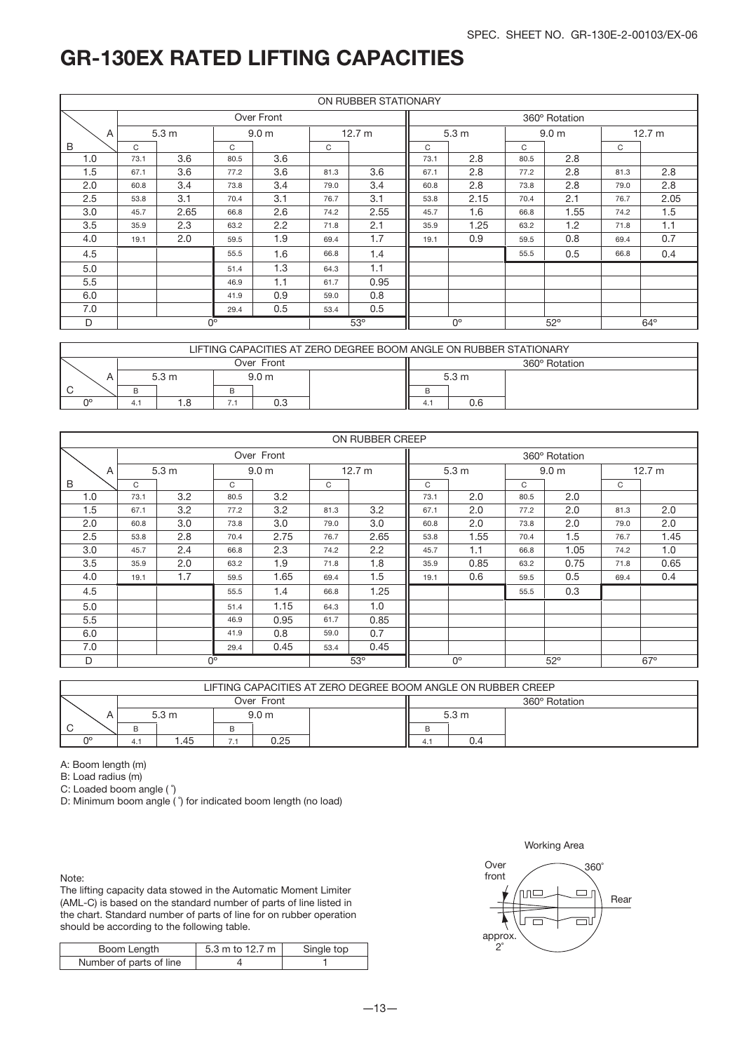|                  |               |                  |      |                            |            | ON RUBBER STATIONARY |             |                  |            |                  |            |        |
|------------------|---------------|------------------|------|----------------------------|------------|----------------------|-------------|------------------|------------|------------------|------------|--------|
|                  |               |                  |      | Over Front                 |            |                      |             |                  |            | 360° Rotation    |            |        |
| A                |               | 5.3 <sub>m</sub> |      | 12.7 m<br>9.0 <sub>m</sub> |            |                      |             | 5.3 <sub>m</sub> |            | 9.0 <sub>m</sub> |            | 12.7 m |
| B                | $\mathcal{C}$ |                  | C    |                            | C          |                      | C           |                  | C          |                  | C          |        |
| 1.0              | 73.1          | 3.6              | 80.5 | 3.6                        |            |                      | 73.1        | 2.8              | 80.5       | 2.8              |            |        |
| 1.5              | 67.1          | 3.6              | 77.2 | 3.6                        | 81.3       | 3.6                  | 67.1        | 2.8              | 77.2       | 2.8              | 81.3       | 2.8    |
| 2.0              | 60.8          | 3.4              | 73.8 | 3.4                        | 79.0       | 3.4                  | 60.8        | 2.8              | 73.8       | 2.8              | 79.0       | 2.8    |
| 2.5              | 53.8          | 3.1              | 70.4 | 3.1                        | 76.7       | 3.1                  | 53.8        | 2.15             | 70.4       | 2.1              | 76.7       | 2.05   |
| 3.0              | 45.7          | 2.65             | 66.8 | 2.6                        | 74.2       | 2.55                 | 45.7        | 1.6              | 66.8       | 1.55             | 74.2       | 1.5    |
| 3.5              | 35.9          | 2.3              | 63.2 | 2.2                        | 71.8       | 2.1                  | 35.9        | 1.25             | 63.2       | 1.2              | 71.8       | 1.1    |
| 4.0              | 19.1          | 2.0              | 59.5 | 1.9                        | 69.4       | 1.7                  | 19.1        | 0.9              | 59.5       | 0.8              | 69.4       | 0.7    |
| 4.5              |               |                  | 55.5 | 1.6                        | 66.8       | 1.4                  |             |                  | 55.5       | 0.5              | 66.8       | 0.4    |
| 5.0              |               |                  | 51.4 | 1.3                        | 64.3       | 1.1                  |             |                  |            |                  |            |        |
| 5.5              |               |                  | 46.9 | 1.1                        | 61.7       | 0.95                 |             |                  |            |                  |            |        |
| 6.0              |               |                  | 41.9 | 0.9                        | 59.0       | 0.8                  |             |                  |            |                  |            |        |
| 7.0              |               |                  | 29.4 | 0.5                        | 53.4       | 0.5                  |             |                  |            |                  |            |        |
| D<br>$0^{\circ}$ |               |                  |      |                            | $53^\circ$ |                      | $0^{\circ}$ |                  | $52^\circ$ |                  | $64^\circ$ |        |

|    | LIFTING CAPACITIES AT ZERO DEGREE BOOM ANGLE ON RUBBER STATIONARY |  |  |     |  |  |                  |  |  |  |  |  |  |
|----|-------------------------------------------------------------------|--|--|-----|--|--|------------------|--|--|--|--|--|--|
|    | Over Front<br>360° Rotation                                       |  |  |     |  |  |                  |  |  |  |  |  |  |
|    | 5.3 <sub>m</sub><br>9.0 <sub>m</sub>                              |  |  |     |  |  | 5.3 <sub>m</sub> |  |  |  |  |  |  |
|    |                                                                   |  |  |     |  |  |                  |  |  |  |  |  |  |
| nα | 4.                                                                |  |  | U.J |  |  |                  |  |  |  |  |  |  |

|     |             |                  |                  |            |      | ON RUBBER CREEP |                                           |                  |      |                  |      |        |
|-----|-------------|------------------|------------------|------------|------|-----------------|-------------------------------------------|------------------|------|------------------|------|--------|
|     |             |                  |                  | Over Front |      |                 |                                           |                  |      | 360° Rotation    |      |        |
| A   |             | 5.3 <sub>m</sub> | 9.0 <sub>m</sub> |            |      | 12.7 m          |                                           | 5.3 <sub>m</sub> |      | 9.0 <sub>m</sub> |      | 12.7 m |
| B   | C           |                  | C                |            | C    |                 | C                                         |                  | C    |                  | C    |        |
| 1.0 | 73.1        | 3.2              | 80.5             | 3.2        |      |                 | 73.1                                      | 2.0              | 80.5 | 2.0              |      |        |
| 1.5 | 67.1        | 3.2              | 77.2             | 3.2        | 81.3 | 3.2             | 67.1                                      | 2.0              | 77.2 | 2.0              | 81.3 | 2.0    |
| 2.0 | 60.8        | 3.0              | 73.8             | 3.0        | 79.0 | 3.0             | 60.8                                      | 2.0              | 73.8 | 2.0              | 79.0 | 2.0    |
| 2.5 | 53.8        | 2.8              | 70.4             | 2.75       | 76.7 | 2.65            | 53.8                                      | 1.55             | 70.4 | 1.5              | 76.7 | 1.45   |
| 3.0 | 45.7        | 2.4              | 66.8             | 2.3        | 74.2 | 2.2             | 45.7                                      | 1.1              | 66.8 | 1.05             | 74.2 | 1.0    |
| 3.5 | 35.9        | 2.0              | 63.2             | 1.9        | 71.8 | 1.8             | 35.9                                      | 0.85             | 63.2 | 0.75             | 71.8 | 0.65   |
| 4.0 | 19.1        | 1.7              | 59.5             | 1.65       | 69.4 | 1.5             | 19.1                                      | 0.6              | 59.5 | 0.5              | 69.4 | 0.4    |
| 4.5 |             |                  | 55.5             | 1.4        | 66.8 | 1.25            |                                           |                  | 55.5 | 0.3              |      |        |
| 5.0 |             |                  | 51.4             | 1.15       | 64.3 | 1.0             |                                           |                  |      |                  |      |        |
| 5.5 |             |                  | 46.9             | 0.95       | 61.7 | 0.85            |                                           |                  |      |                  |      |        |
| 6.0 |             |                  | 41.9             | 0.8        | 59.0 | 0.7             |                                           |                  |      |                  |      |        |
| 7.0 |             |                  | 29.4             | 0.45       | 53.4 | 0.45            |                                           |                  |      |                  |      |        |
| D   | $0^{\circ}$ |                  |                  |            |      | 53°             | $0^{\circ}$<br>$52^{\circ}$<br>$67^\circ$ |                  |      |                  |      |        |

|    | LIFTING CAPACITIES AT ZERO DEGREE BOOM ANGLE ON RUBBER CREEP |     |     |            |               |    |       |  |  |  |  |  |  |
|----|--------------------------------------------------------------|-----|-----|------------|---------------|----|-------|--|--|--|--|--|--|
|    |                                                              |     |     | Over Front | 360° Rotation |    |       |  |  |  |  |  |  |
|    | 5.3 <sub>m</sub><br>9.0 <sub>m</sub>                         |     |     |            |               |    | 5.3 m |  |  |  |  |  |  |
|    |                                                              |     | B   |            |               |    |       |  |  |  |  |  |  |
| no | 4.1                                                          | .45 | 7.1 | 0.25       |               | 4. | 0.4   |  |  |  |  |  |  |

A: Boom length (m)

B: Load radius (m)

C: Loaded boom angle ( ˚)

D: Minimum boom angle (°) for indicated boom length (no load)

Note:

The lifting capacity data stowed in the Automatic Moment Limiter (AML-C) is based on the standard number of parts of line listed in the chart. Standard number of parts of line for on rubber operation should be according to the following table.

| Boom Length             | 5.3 m to 12.7 m | Single top |
|-------------------------|-----------------|------------|
| Number of parts of line |                 |            |



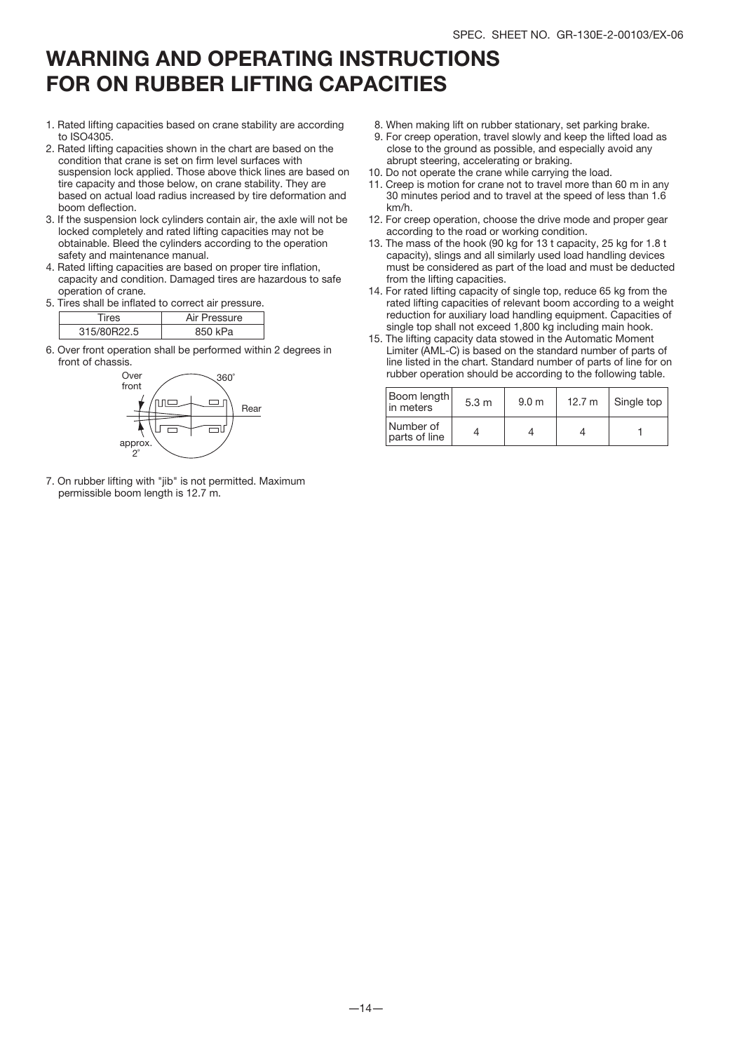### WARNING AND OPERATING INSTRUCTIONS FOR ON RUBBER LIFTING CAPACITIES

- 1. Rated lifting capacities based on crane stability are according to ISO4305.
- 2. Rated lifting capacities shown in the chart are based on the condition that crane is set on firm level surfaces with suspension lock applied. Those above thick lines are based on tire capacity and those below, on crane stability. They are based on actual load radius increased by tire deformation and boom deflection.
- 3. If the suspension lock cylinders contain air, the axle will not be locked completely and rated lifting capacities may not be obtainable. Bleed the cylinders according to the operation safety and maintenance manual.
- 4. Rated lifting capacities are based on proper tire inflation, capacity and condition. Damaged tires are hazardous to safe operation of crane.
- 5. Tires shall be inflated to correct air pressure.

|              | Pressure |
|--------------|----------|
| <b>R22.5</b> | Pа       |

6. Over front operation shall be performed within 2 degrees in front of chassis.



7. On rubber lifting with "jib" is not permitted. Maximum permissible boom length is 12.7 m.

- 8. When making lift on rubber stationary, set parking brake.
- 9. For creep operation, travel slowly and keep the lifted load as close to the ground as possible, and especially avoid any abrupt steering, accelerating or braking.
- 10. Do not operate the crane while carrying the load.
- 11. Creep is motion for crane not to travel more than 60 m in any 30 minutes period and to travel at the speed of less than 1.6 km/h.
- 12. For creep operation, choose the drive mode and proper gear according to the road or working condition.
- 13. The mass of the hook (90 kg for 13 t capacity, 25 kg for 1.8 t capacity), slings and all similarly used load handling devices must be considered as part of the load and must be deducted from the lifting capacities.
- 14. For rated lifting capacity of single top, reduce 65 kg from the rated lifting capacities of relevant boom according to a weight reduction for auxiliary load handling equipment. Capacities of single top shall not exceed 1,800 kg including main hook.
- 15. The lifting capacity data stowed in the Automatic Moment Limiter (AML-C) is based on the standard number of parts of line listed in the chart. Standard number of parts of line for on rubber operation should be according to the following table.

| Boom length<br>in meters   | 5.3 <sub>m</sub> | 9.0 <sub>m</sub> | 12.7 $m$ | Single top |
|----------------------------|------------------|------------------|----------|------------|
| Number of<br>parts of line |                  |                  |          |            |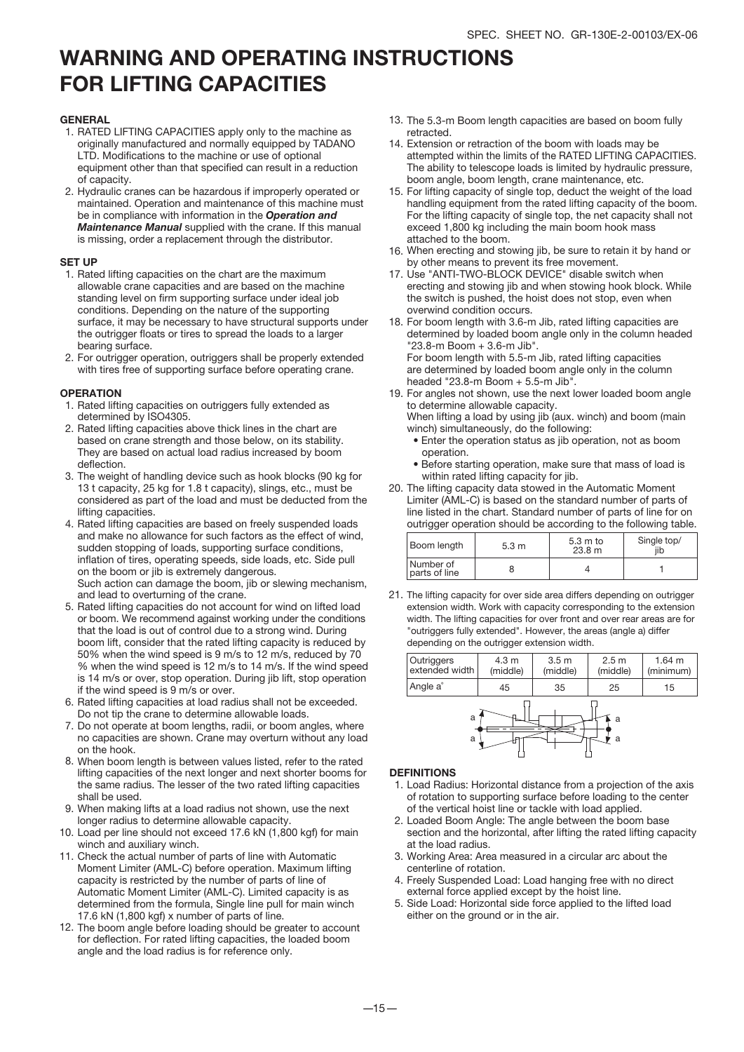### WARNING AND OPERATING INSTRUCTIONS FOR LIFTING CAPACITIES

#### **GENERAL**

- 1. RATED LIFTING CAPACITIES apply only to the machine as originally manufactured and normally equipped by TADANO LTD. Modifications to the machine or use of optional equipment other than that specified can result in a reduction of capacity.
- 2. Hydraulic cranes can be hazardous if improperly operated or maintained. Operation and maintenance of this machine must be in compliance with information in the *Operation and Maintenance Manual* supplied with the crane. If this manual is missing, order a replacement through the distributor.

#### SET UP

- 1. Rated lifting capacities on the chart are the maximum allowable crane capacities and are based on the machine standing level on firm supporting surface under ideal job conditions. Depending on the nature of the supporting surface, it may be necessary to have structural supports under the outrigger floats or tires to spread the loads to a larger bearing surface.
- 2. For outrigger operation, outriggers shall be properly extended with tires free of supporting surface before operating crane.

#### **OPERATION**

- 1. Rated lifting capacities on outriggers fully extended as determined by ISO4305.
- 2. Rated lifting capacities above thick lines in the chart are based on crane strength and those below, on its stability. They are based on actual load radius increased by boom deflection
- 3. The weight of handling device such as hook blocks (90 kg for 13 t capacity, 25 kg for 1.8 t capacity), slings, etc., must be considered as part of the load and must be deducted from the lifting capacities.
- 4. Rated lifting capacities are based on freely suspended loads and make no allowance for such factors as the effect of wind, sudden stopping of loads, supporting surface conditions, inflation of tires, operating speeds, side loads, etc. Side pull on the boom or jib is extremely dangerous. Such action can damage the boom, jib or slewing mechanism, and lead to overturning of the crane.
- 5. Rated lifting capacities do not account for wind on lifted load or boom. We recommend against working under the conditions that the load is out of control due to a strong wind. During boom lift, consider that the rated lifting capacity is reduced by 50% when the wind speed is 9 m/s to 12 m/s, reduced by 70 % when the wind speed is 12 m/s to 14 m/s. If the wind speed is 14 m/s or over, stop operation. During jib lift, stop operation if the wind speed is 9 m/s or over.
- 6. Rated lifting capacities at load radius shall not be exceeded. Do not tip the crane to determine allowable loads.
- 7. Do not operate at boom lengths, radii, or boom angles, where no capacities are shown. Crane may overturn without any load on the hook.
- 8. When boom length is between values listed, refer to the rated lifting capacities of the next longer and next shorter booms for the same radius. The lesser of the two rated lifting capacities shall be used.
- When making lifts at a load radius not shown, use the next 9. longer radius to determine allowable capacity.
- 10. Load per line should not exceed 17.6 kN (1,800 kgf) for main winch and auxiliary winch.
- 11. Check the actual number of parts of line with Automatic Moment Limiter (AML-C) before operation. Maximum lifting capacity is restricted by the number of parts of line of Automatic Moment Limiter (AML-C). Limited capacity is as determined from the formula, Single line pull for main winch 17.6 kN (1,800 kgf) x number of parts of line.
- 12. The boom angle before loading should be greater to account for deflection. For rated lifting capacities, the loaded boom angle and the load radius is for reference only.
- 13. The 5.3-m Boom length capacities are based on boom fully retracted.
- 14. Extension or retraction of the boom with loads may be attempted within the limits of the RATED LIFTING CAPACITIES. The ability to telescope loads is limited by hydraulic pressure, boom angle, boom length, crane maintenance, etc.
- 15. For lifting capacity of single top, deduct the weight of the load handling equipment from the rated lifting capacity of the boom. For the lifting capacity of single top, the net capacity shall not exceed 1,800 kg including the main boom hook mass attached to the boom.
- 16. When erecting and stowing jib, be sure to retain it by hand or by other means to prevent its free movement.
- 17. Use "ANTI-TWO-BLOCK DEVICE" disable switch when erecting and stowing jib and when stowing hook block. While the switch is pushed, the hoist does not stop, even when overwind condition occurs.
- 18. For boom length with 3.6-m Jib, rated lifting capacities are determined by loaded boom angle only in the column headed "23.8-m Boom + 3.6-m Jib". For boom length with 5.5-m Jib, rated lifting capacities are determined by loaded boom angle only in the column
- headed "23.8-m Boom + 5.5-m Jib". 19. For angles not shown, use the next lower loaded boom angle to determine allowable capacity. When lifting a load by using jib (aux. winch) and boom (main
	- winch) simultaneously, do the following: • Enter the operation status as jib operation, not as boom operation.
	- Before starting operation, make sure that mass of load is within rated lifting capacity for jib.
- 20. The lifting capacity data stowed in the Automatic Moment Limiter (AML-C) is based on the standard number of parts of line listed in the chart. Standard number of parts of line for on outrigger operation should be according to the following table.

| Boom length                  | 5.3 <sub>m</sub> | 5.3 m to<br>23.8 m | Single top/ |
|------------------------------|------------------|--------------------|-------------|
| l Number of<br>parts of line |                  |                    |             |

21. The lifting capacity for over side area differs depending on outrigger extension width. Work with capacity corresponding to the extension width. The lifting capacities for over front and over rear areas are for "outriggers fully extended". However, the areas (angle a) differ depending on the outrigger extension width.





#### **DEFINITIONS**

- 1. Load Radius: Horizontal distance from a projection of the axis of rotation to supporting surface before loading to the center of the vertical hoist line or tackle with load applied.
- 2. Loaded Boom Angle: The angle between the boom base section and the horizontal, after lifting the rated lifting capacity at the load radius.
- 3. Working Area: Area measured in a circular arc about the centerline of rotation.
- 4. Freely Suspended Load: Load hanging free with no direct external force applied except by the hoist line.
- Side Load: Horizontal side force applied to the lifted load 5. either on the ground or in the air.